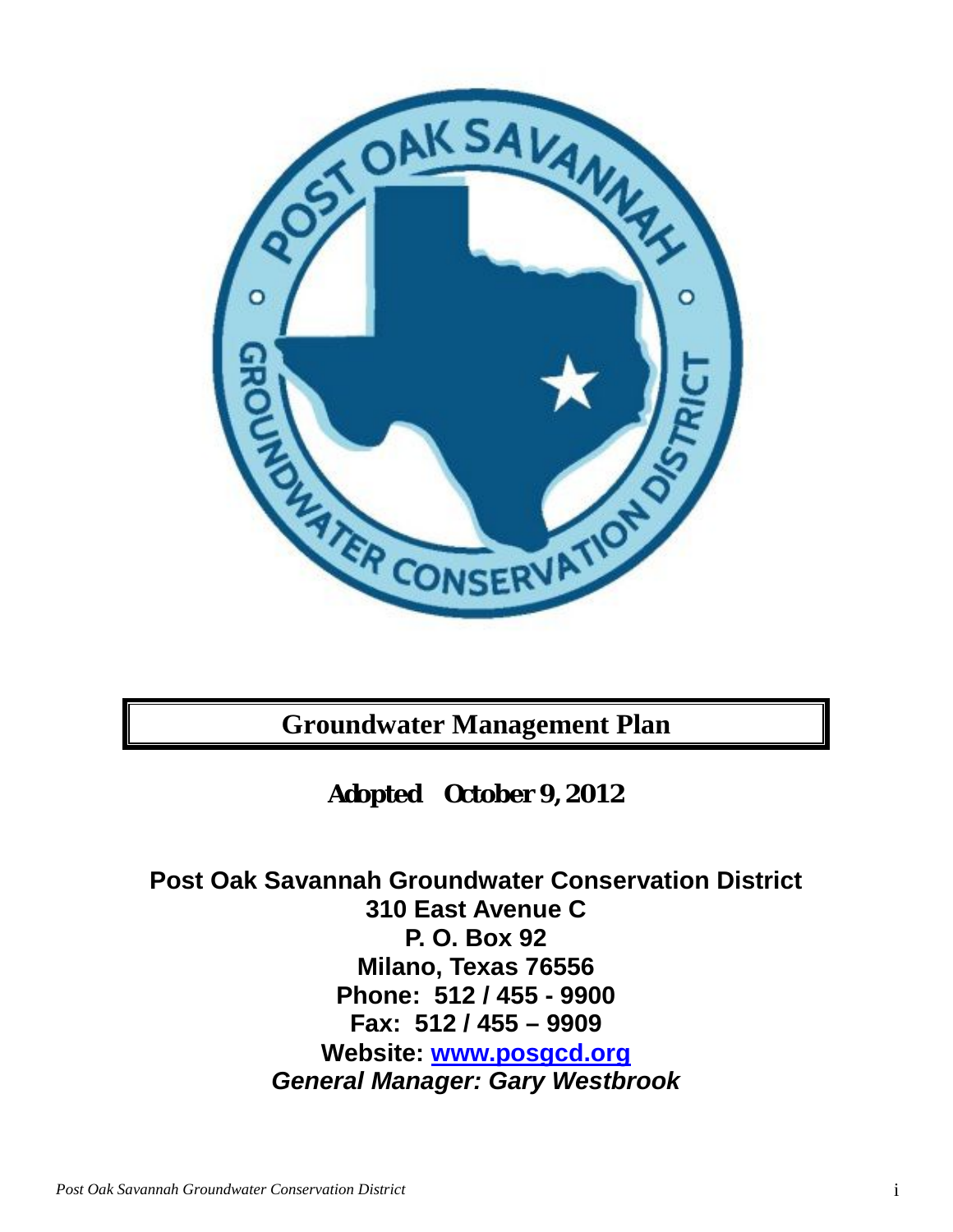

**Groundwater Management Plan**

**Adopted October 9, 2012**

**Post Oak Savannah Groundwater Conservation District 310 East Avenue C P. O. Box 92 Milano, Texas 76556 Phone: 512 / 455 - 9900 Fax: 512 / 455 – 9909 Website: [www.posgcd.org](http://www.posgcd.org/)** *General Manager: Gary Westbrook*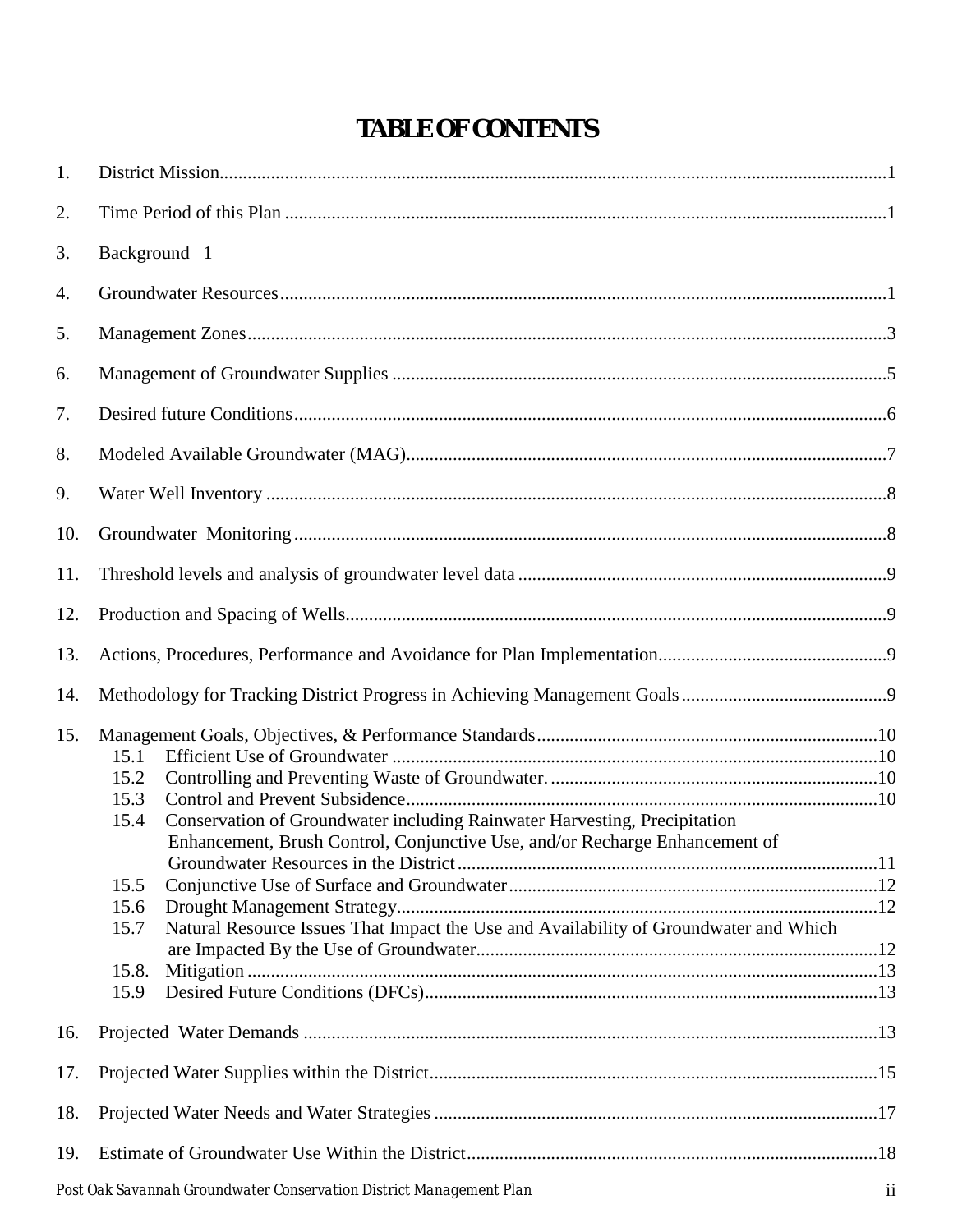# **TABLE OF CONTENTS**

| 1.  |                                                                                                                                                                                                                                                                                                                            |  |
|-----|----------------------------------------------------------------------------------------------------------------------------------------------------------------------------------------------------------------------------------------------------------------------------------------------------------------------------|--|
| 2.  |                                                                                                                                                                                                                                                                                                                            |  |
| 3.  | Background 1                                                                                                                                                                                                                                                                                                               |  |
| 4.  |                                                                                                                                                                                                                                                                                                                            |  |
| 5.  |                                                                                                                                                                                                                                                                                                                            |  |
| 6.  |                                                                                                                                                                                                                                                                                                                            |  |
| 7.  |                                                                                                                                                                                                                                                                                                                            |  |
| 8.  |                                                                                                                                                                                                                                                                                                                            |  |
| 9.  |                                                                                                                                                                                                                                                                                                                            |  |
| 10. |                                                                                                                                                                                                                                                                                                                            |  |
| 11. |                                                                                                                                                                                                                                                                                                                            |  |
| 12. |                                                                                                                                                                                                                                                                                                                            |  |
| 13. |                                                                                                                                                                                                                                                                                                                            |  |
| 14. |                                                                                                                                                                                                                                                                                                                            |  |
| 15. | 15.1<br>15.2<br>15.3<br>Conservation of Groundwater including Rainwater Harvesting, Precipitation<br>15.4<br>Enhancement, Brush Control, Conjunctive Use, and/or Recharge Enhancement of<br>15.5<br>15.6<br>Natural Resource Issues That Impact the Use and Availability of Groundwater and Which<br>15.7<br>15.8.<br>15.9 |  |
| 16. |                                                                                                                                                                                                                                                                                                                            |  |
| 17. |                                                                                                                                                                                                                                                                                                                            |  |
| 18. |                                                                                                                                                                                                                                                                                                                            |  |
| 19. |                                                                                                                                                                                                                                                                                                                            |  |
|     |                                                                                                                                                                                                                                                                                                                            |  |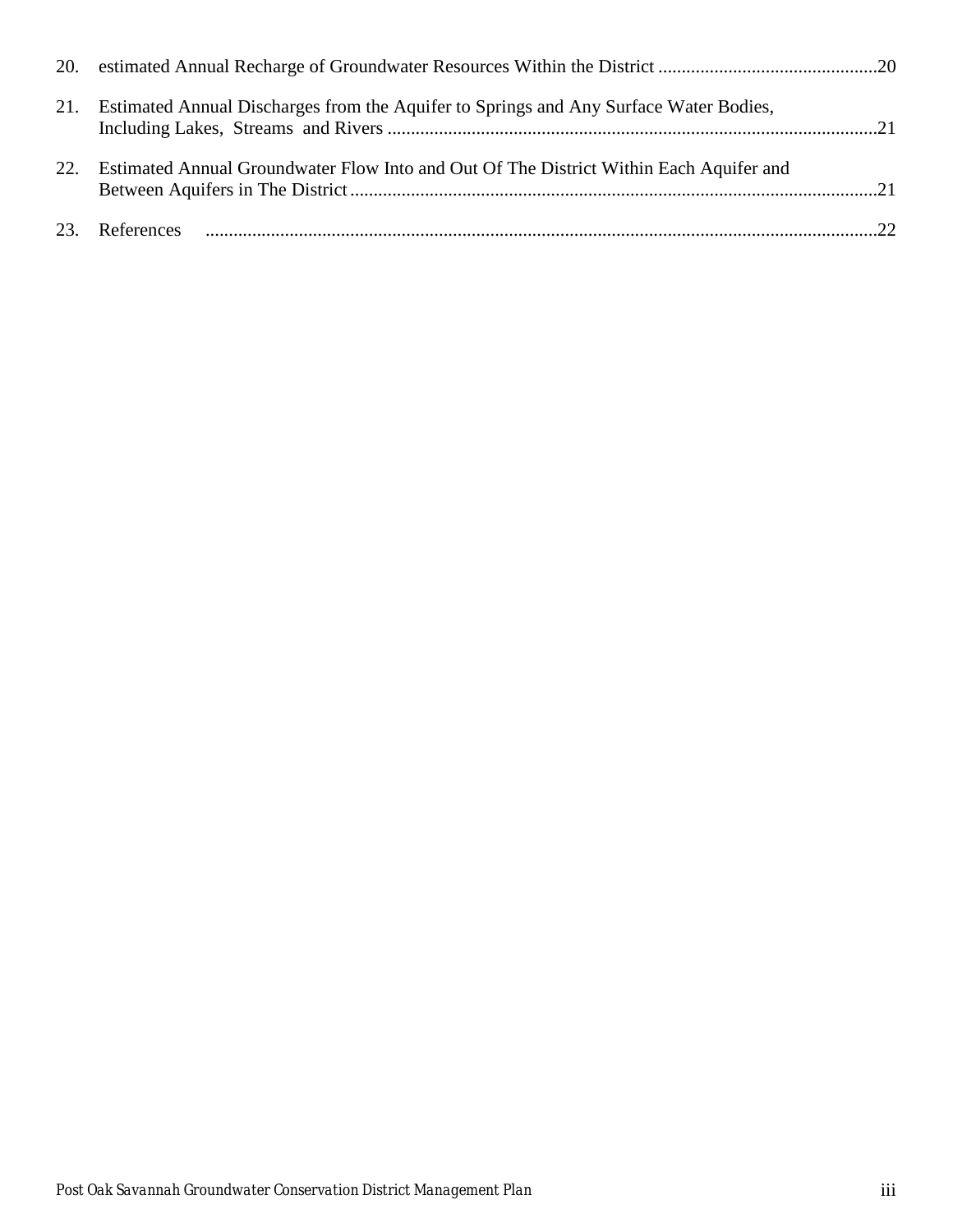|          | 21. Estimated Annual Discharges from the Aquifer to Springs and Any Surface Water Bodies, |  |
|----------|-------------------------------------------------------------------------------------------|--|
| $22_{-}$ | Estimated Annual Groundwater Flow Into and Out Of The District Within Each Aquifer and    |  |
|          |                                                                                           |  |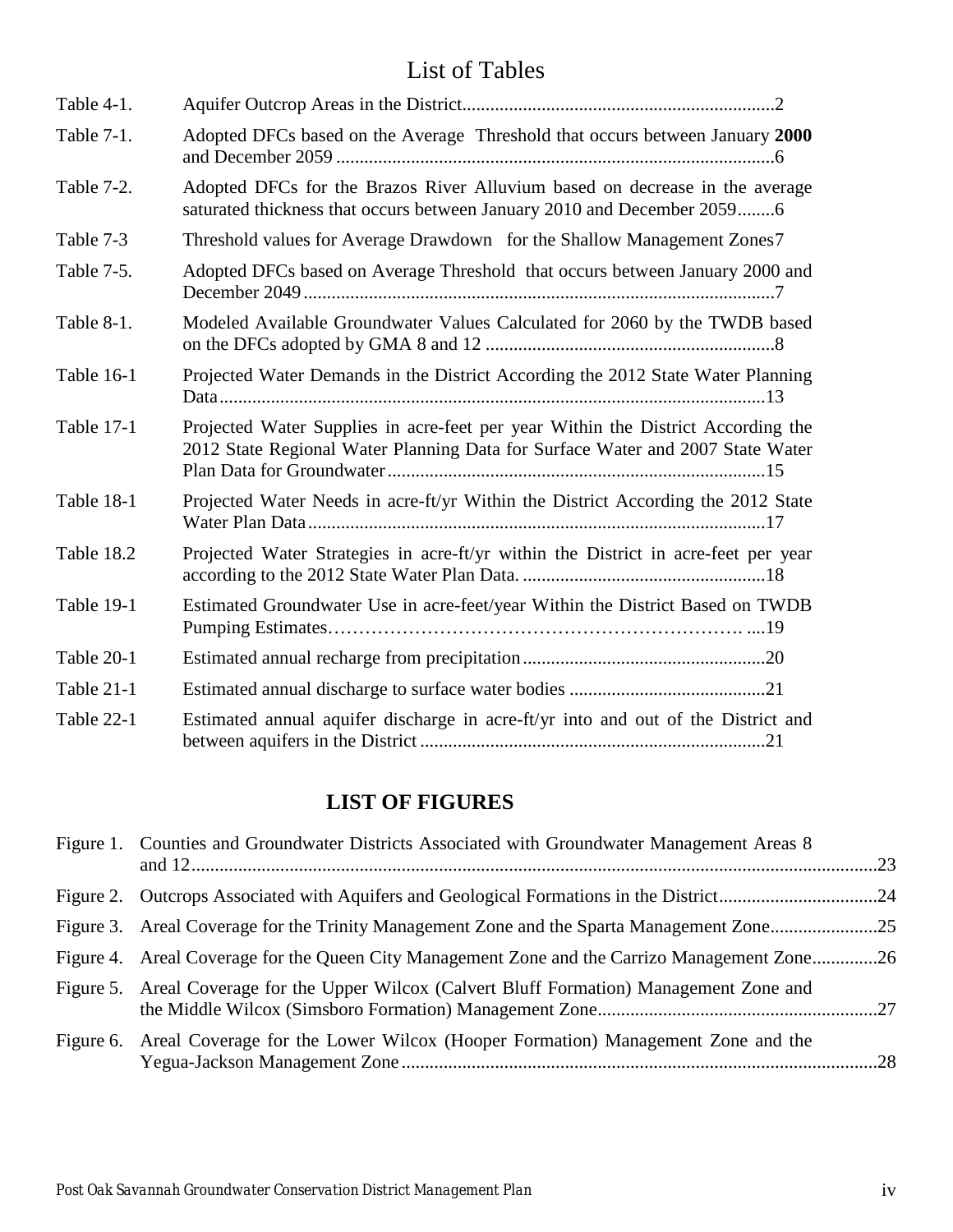# List of Tables

| Table 4-1.        |                                                                                                                                                                    |
|-------------------|--------------------------------------------------------------------------------------------------------------------------------------------------------------------|
| Table 7-1.        | Adopted DFCs based on the Average Threshold that occurs between January 2000                                                                                       |
| Table 7-2.        | Adopted DFCs for the Brazos River Alluvium based on decrease in the average<br>saturated thickness that occurs between January 2010 and December 20596             |
| Table 7-3         | Threshold values for Average Drawdown for the Shallow Management Zones7                                                                                            |
| Table 7-5.        | Adopted DFCs based on Average Threshold that occurs between January 2000 and                                                                                       |
| Table 8-1.        | Modeled Available Groundwater Values Calculated for 2060 by the TWDB based                                                                                         |
| Table 16-1        | Projected Water Demands in the District According the 2012 State Water Planning                                                                                    |
| <b>Table 17-1</b> | Projected Water Supplies in acre-feet per year Within the District According the<br>2012 State Regional Water Planning Data for Surface Water and 2007 State Water |
| Table 18-1        | Projected Water Needs in acre-ft/yr Within the District According the 2012 State                                                                                   |
| Table 18.2        | Projected Water Strategies in acre-ft/yr within the District in acre-feet per year                                                                                 |
| Table 19-1        | Estimated Groundwater Use in acre-feet/year Within the District Based on TWDB                                                                                      |
| Table 20-1        |                                                                                                                                                                    |
| Table 21-1        |                                                                                                                                                                    |
| Table 22-1        | Estimated annual aquifer discharge in acre-ft/yr into and out of the District and                                                                                  |

# **LIST OF FIGURES**

| Figure 1. Counties and Groundwater Districts Associated with Groundwater Management Areas 8   |  |
|-----------------------------------------------------------------------------------------------|--|
|                                                                                               |  |
| Figure 3. Areal Coverage for the Trinity Management Zone and the Sparta Management Zone25     |  |
| Figure 4. Areal Coverage for the Queen City Management Zone and the Carrizo Management Zone26 |  |
| Figure 5. Areal Coverage for the Upper Wilcox (Calvert Bluff Formation) Management Zone and   |  |
| Figure 6. Areal Coverage for the Lower Wilcox (Hooper Formation) Management Zone and the      |  |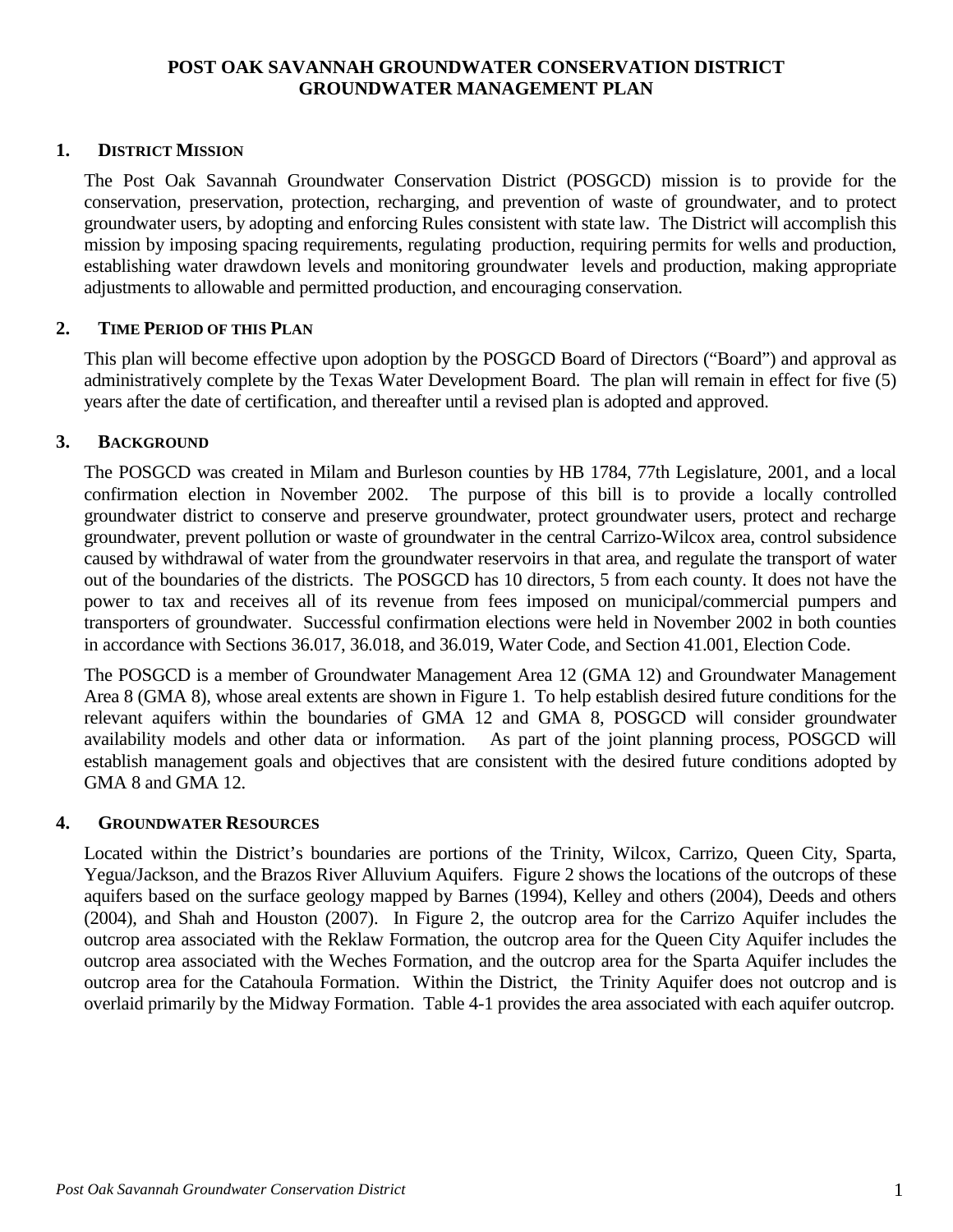## **POST OAK SAVANNAH GROUNDWATER CONSERVATION DISTRICT GROUNDWATER MANAGEMENT PLAN**

# <span id="page-4-0"></span>**1. DISTRICT MISSION**

The Post Oak Savannah Groundwater Conservation District (POSGCD) mission is to provide for the conservation, preservation, protection, recharging, and prevention of waste of groundwater, and to protect groundwater users, by adopting and enforcing Rules consistent with state law. The District will accomplish this mission by imposing spacing requirements, regulating production, requiring permits for wells and production, establishing water drawdown levels and monitoring groundwater levels and production, making appropriate adjustments to allowable and permitted production, and encouraging conservation.

## <span id="page-4-1"></span>**2. TIME PERIOD OF THIS PLAN**

This plan will become effective upon adoption by the POSGCD Board of Directors ("Board") and approval as administratively complete by the Texas Water Development Board. The plan will remain in effect for five (5) years after the date of certification, and thereafter until a revised plan is adopted and approved.

## <span id="page-4-2"></span>**3. BACKGROUND**

The POSGCD was created in Milam and Burleson counties by HB 1784, 77th Legislature, 2001, and a local confirmation election in November 2002. The purpose of this bill is to provide a locally controlled groundwater district to conserve and preserve groundwater, protect groundwater users, protect and recharge groundwater, prevent pollution or waste of groundwater in the central Carrizo-Wilcox area, control subsidence caused by withdrawal of water from the groundwater reservoirs in that area, and regulate the transport of water out of the boundaries of the districts. The POSGCD has 10 directors, 5 from each county. It does not have the power to tax and receives all of its revenue from fees imposed on municipal/commercial pumpers and transporters of groundwater. Successful confirmation elections were held in November 2002 in both counties in accordance with Sections 36.017, 36.018, and 36.019, Water Code, and Section 41.001, Election Code.

The POSGCD is a member of Groundwater Management Area 12 (GMA 12) and Groundwater Management Area 8 (GMA 8), whose areal extents are shown in Figure 1. To help establish desired future conditions for the relevant aquifers within the boundaries of GMA 12 and GMA 8, POSGCD will consider groundwater availability models and other data or information. As part of the joint planning process, POSGCD will establish management goals and objectives that are consistent with the desired future conditions adopted by GMA 8 and GMA 12.

## <span id="page-4-3"></span>**4. GROUNDWATER RESOURCES**

Located within the District's boundaries are portions of the Trinity, Wilcox, Carrizo, Queen City, Sparta, Yegua/Jackson, and the Brazos River Alluvium Aquifers. Figure 2 shows the locations of the outcrops of these aquifers based on the surface geology mapped by Barnes (1994), Kelley and others (2004), Deeds and others (2004), and Shah and Houston (2007). In Figure 2, the outcrop area for the Carrizo Aquifer includes the outcrop area associated with the Reklaw Formation, the outcrop area for the Queen City Aquifer includes the outcrop area associated with the Weches Formation, and the outcrop area for the Sparta Aquifer includes the outcrop area for the Catahoula Formation. Within the District, the Trinity Aquifer does not outcrop and is overlaid primarily by the Midway Formation. Table 4-1 provides the area associated with each aquifer outcrop.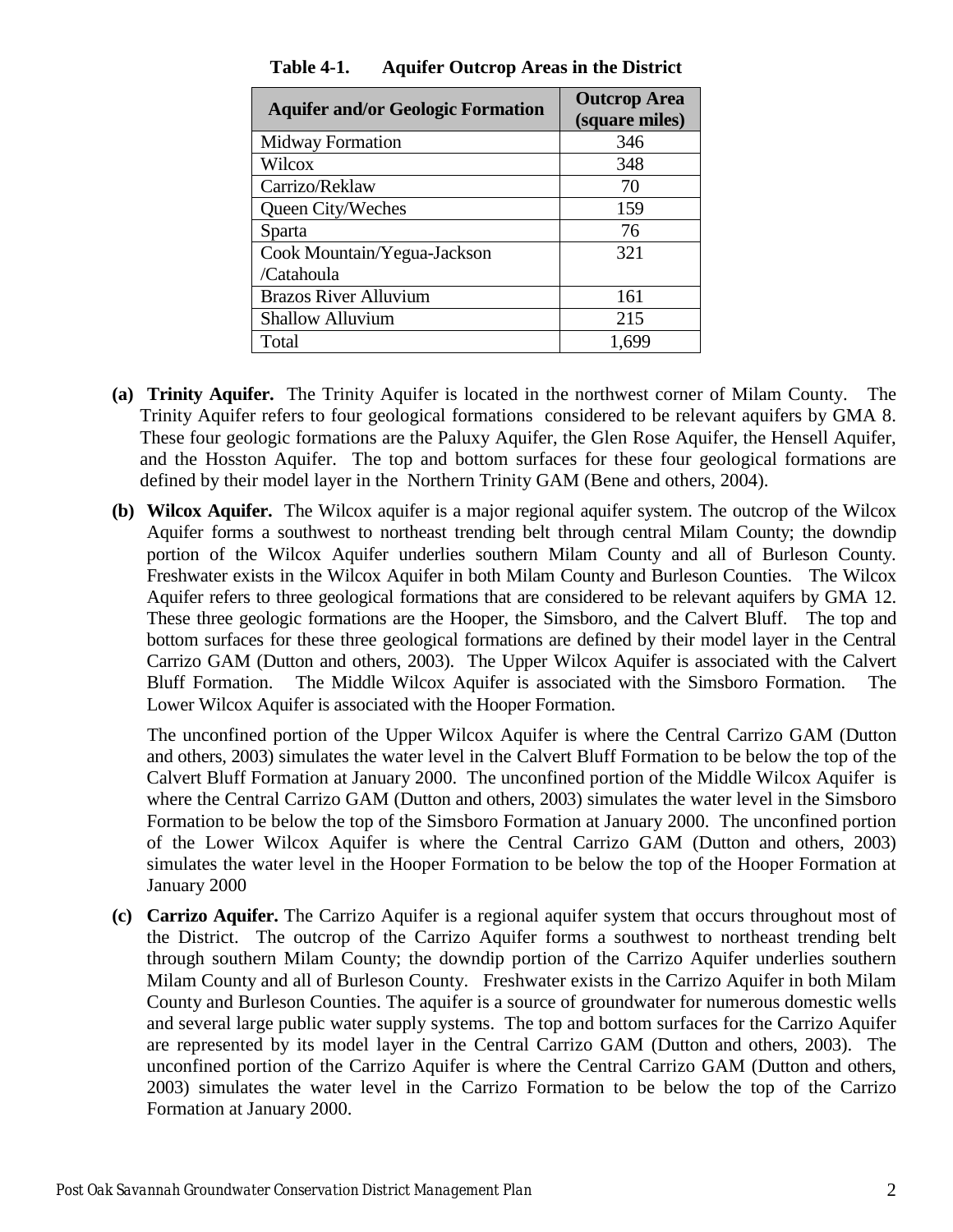<span id="page-5-0"></span>

| <b>Aquifer and/or Geologic Formation</b> | <b>Outcrop Area</b><br>(square miles) |
|------------------------------------------|---------------------------------------|
| <b>Midway Formation</b>                  | 346                                   |
| Wilcox                                   | 348                                   |
| Carrizo/Reklaw                           | 70                                    |
| Queen City/Weches                        | 159                                   |
| Sparta                                   | 76                                    |
| Cook Mountain/Yegua-Jackson              | 321                                   |
| /Catahoula                               |                                       |
| <b>Brazos River Alluvium</b>             | 161                                   |
| <b>Shallow Alluvium</b>                  | 215                                   |
| Total                                    | 1.699                                 |

**Table 4-1. Aquifer Outcrop Areas in the District**

- **(a) Trinity Aquifer.** The Trinity Aquifer is located in the northwest corner of Milam County. The Trinity Aquifer refers to four geological formations considered to be relevant aquifers by GMA 8. These four geologic formations are the Paluxy Aquifer, the Glen Rose Aquifer, the Hensell Aquifer, and the Hosston Aquifer. The top and bottom surfaces for these four geological formations are defined by their model layer in the Northern Trinity GAM (Bene and others, 2004).
- **(b) Wilcox Aquifer.** The Wilcox aquifer is a major regional aquifer system. The outcrop of the Wilcox Aquifer forms a southwest to northeast trending belt through central Milam County; the downdip portion of the Wilcox Aquifer underlies southern Milam County and all of Burleson County. Freshwater exists in the Wilcox Aquifer in both Milam County and Burleson Counties. The Wilcox Aquifer refers to three geological formations that are considered to be relevant aquifers by GMA 12. These three geologic formations are the Hooper, the Simsboro, and the Calvert Bluff. The top and bottom surfaces for these three geological formations are defined by their model layer in the Central Carrizo GAM (Dutton and others, 2003). The Upper Wilcox Aquifer is associated with the Calvert Bluff Formation. The Middle Wilcox Aquifer is associated with the Simsboro Formation. The Lower Wilcox Aquifer is associated with the Hooper Formation.

The unconfined portion of the Upper Wilcox Aquifer is where the Central Carrizo GAM (Dutton and others, 2003) simulates the water level in the Calvert Bluff Formation to be below the top of the Calvert Bluff Formation at January 2000. The unconfined portion of the Middle Wilcox Aquifer is where the Central Carrizo GAM (Dutton and others, 2003) simulates the water level in the Simsboro Formation to be below the top of the Simsboro Formation at January 2000. The unconfined portion of the Lower Wilcox Aquifer is where the Central Carrizo GAM (Dutton and others, 2003) simulates the water level in the Hooper Formation to be below the top of the Hooper Formation at January 2000

**(c) Carrizo Aquifer.** The Carrizo Aquifer is a regional aquifer system that occurs throughout most of the District. The outcrop of the Carrizo Aquifer forms a southwest to northeast trending belt through southern Milam County; the downdip portion of the Carrizo Aquifer underlies southern Milam County and all of Burleson County. Freshwater exists in the Carrizo Aquifer in both Milam County and Burleson Counties. The aquifer is a source of groundwater for numerous domestic wells and several large public water supply systems. The top and bottom surfaces for the Carrizo Aquifer are represented by its model layer in the Central Carrizo GAM (Dutton and others, 2003). The unconfined portion of the Carrizo Aquifer is where the Central Carrizo GAM (Dutton and others, 2003) simulates the water level in the Carrizo Formation to be below the top of the Carrizo Formation at January 2000.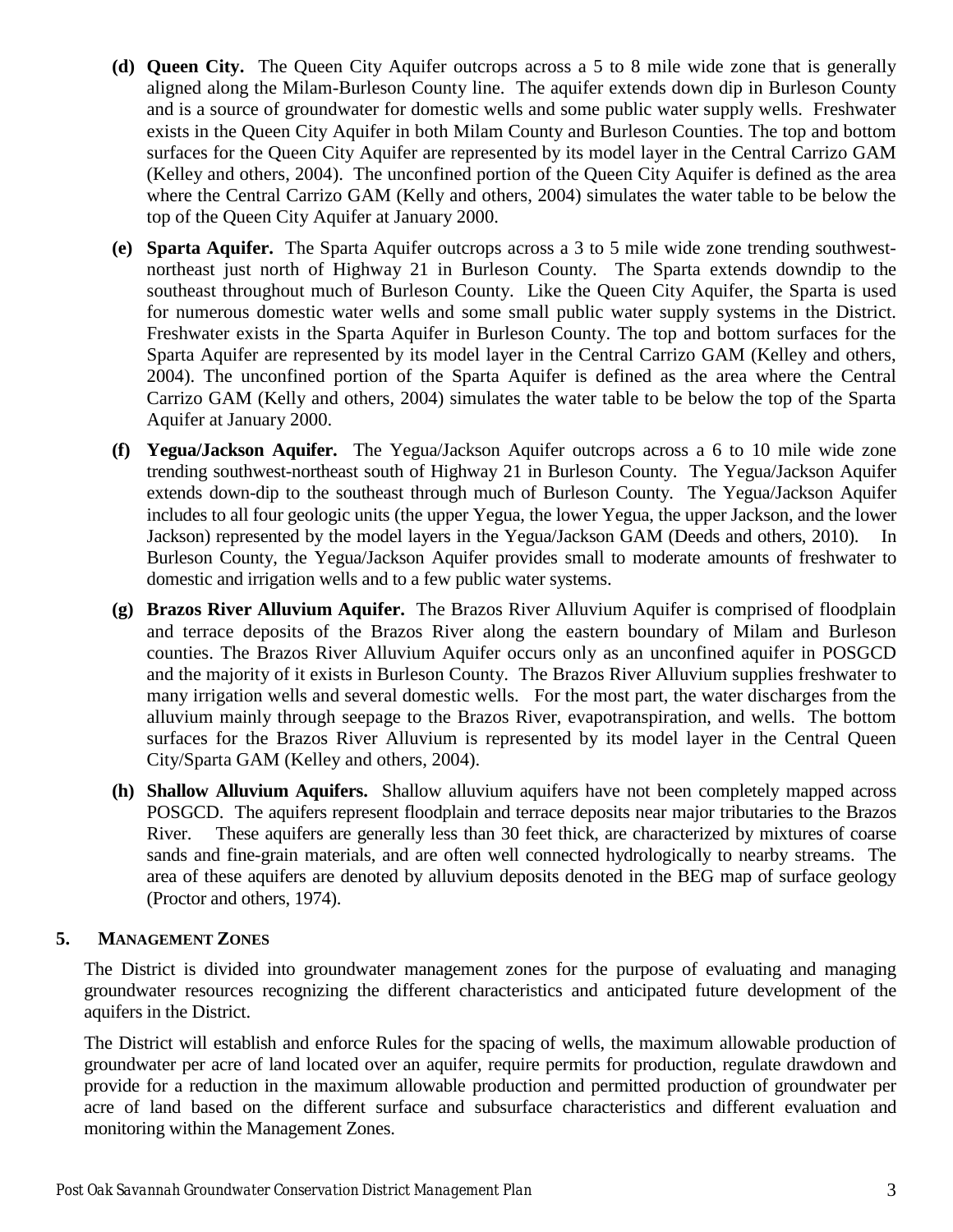- **(d) Queen City.** The Queen City Aquifer outcrops across a 5 to 8 mile wide zone that is generally aligned along the Milam-Burleson County line. The aquifer extends down dip in Burleson County and is a source of groundwater for domestic wells and some public water supply wells. Freshwater exists in the Queen City Aquifer in both Milam County and Burleson Counties. The top and bottom surfaces for the Queen City Aquifer are represented by its model layer in the Central Carrizo GAM (Kelley and others, 2004). The unconfined portion of the Queen City Aquifer is defined as the area where the Central Carrizo GAM (Kelly and others, 2004) simulates the water table to be below the top of the Queen City Aquifer at January 2000.
- **(e) Sparta Aquifer.** The Sparta Aquifer outcrops across a 3 to 5 mile wide zone trending southwestnortheast just north of Highway 21 in Burleson County. The Sparta extends downdip to the southeast throughout much of Burleson County. Like the Queen City Aquifer, the Sparta is used for numerous domestic water wells and some small public water supply systems in the District. Freshwater exists in the Sparta Aquifer in Burleson County. The top and bottom surfaces for the Sparta Aquifer are represented by its model layer in the Central Carrizo GAM (Kelley and others, 2004). The unconfined portion of the Sparta Aquifer is defined as the area where the Central Carrizo GAM (Kelly and others, 2004) simulates the water table to be below the top of the Sparta Aquifer at January 2000.
- **(f) Yegua/Jackson Aquifer.** The Yegua/Jackson Aquifer outcrops across a 6 to 10 mile wide zone trending southwest-northeast south of Highway 21 in Burleson County. The Yegua/Jackson Aquifer extends down-dip to the southeast through much of Burleson County. The Yegua/Jackson Aquifer includes to all four geologic units (the upper Yegua, the lower Yegua, the upper Jackson, and the lower Jackson) represented by the model layers in the Yegua/Jackson GAM (Deeds and others, 2010). In Burleson County, the Yegua/Jackson Aquifer provides small to moderate amounts of freshwater to domestic and irrigation wells and to a few public water systems.
- **(g) Brazos River Alluvium Aquifer.** The Brazos River Alluvium Aquifer is comprised of floodplain and terrace deposits of the Brazos River along the eastern boundary of Milam and Burleson counties. The Brazos River Alluvium Aquifer occurs only as an unconfined aquifer in POSGCD and the majority of it exists in Burleson County. The Brazos River Alluvium supplies freshwater to many irrigation wells and several domestic wells. For the most part, the water discharges from the alluvium mainly through seepage to the Brazos River, evapotranspiration, and wells. The bottom surfaces for the Brazos River Alluvium is represented by its model layer in the Central Queen City/Sparta GAM (Kelley and others, 2004).
- **(h) Shallow Alluvium Aquifers.** Shallow alluvium aquifers have not been completely mapped across POSGCD. The aquifers represent floodplain and terrace deposits near major tributaries to the Brazos River. These aquifers are generally less than 30 feet thick, are characterized by mixtures of coarse sands and fine-grain materials, and are often well connected hydrologically to nearby streams. The area of these aquifers are denoted by alluvium deposits denoted in the BEG map of surface geology (Proctor and others, 1974).

# <span id="page-6-0"></span>**5. MANAGEMENT ZONES**

The District is divided into groundwater management zones for the purpose of evaluating and managing groundwater resources recognizing the different characteristics and anticipated future development of the aquifers in the District.

The District will establish and enforce Rules for the spacing of wells, the maximum allowable production of groundwater per acre of land located over an aquifer, require permits for production, regulate drawdown and provide for a reduction in the maximum allowable production and permitted production of groundwater per acre of land based on the different surface and subsurface characteristics and different evaluation and monitoring within the Management Zones.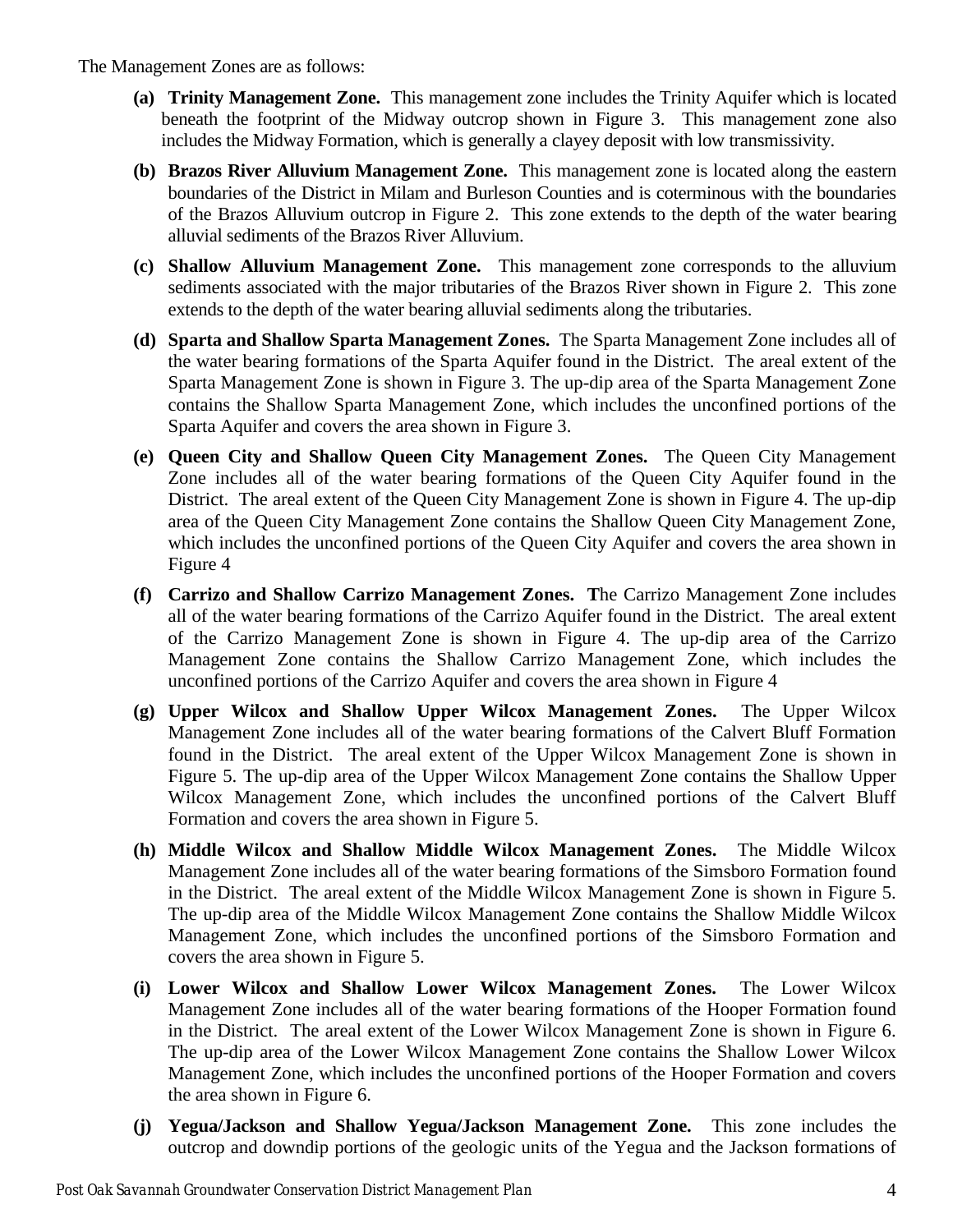## The Management Zones are as follows:

- **(a) Trinity Management Zone.** This management zone includes the Trinity Aquifer which is located beneath the footprint of the Midway outcrop shown in Figure 3. This management zone also includes the Midway Formation, which is generally a clayey deposit with low transmissivity.
- **(b) Brazos River Alluvium Management Zone.** This management zone is located along the eastern boundaries of the District in Milam and Burleson Counties and is coterminous with the boundaries of the Brazos Alluvium outcrop in Figure 2. This zone extends to the depth of the water bearing alluvial sediments of the Brazos River Alluvium.
- **(c) Shallow Alluvium Management Zone.** This management zone corresponds to the alluvium sediments associated with the major tributaries of the Brazos River shown in Figure 2. This zone extends to the depth of the water bearing alluvial sediments along the tributaries.
- **(d) Sparta and Shallow Sparta Management Zones.** The Sparta Management Zone includes all of the water bearing formations of the Sparta Aquifer found in the District. The areal extent of the Sparta Management Zone is shown in Figure 3. The up-dip area of the Sparta Management Zone contains the Shallow Sparta Management Zone, which includes the unconfined portions of the Sparta Aquifer and covers the area shown in Figure 3.
- **(e) Queen City and Shallow Queen City Management Zones.** The Queen City Management Zone includes all of the water bearing formations of the Queen City Aquifer found in the District. The areal extent of the Queen City Management Zone is shown in Figure 4. The up-dip area of the Queen City Management Zone contains the Shallow Queen City Management Zone, which includes the unconfined portions of the Queen City Aquifer and covers the area shown in Figure 4
- **(f) Carrizo and Shallow Carrizo Management Zones. T**he Carrizo Management Zone includes all of the water bearing formations of the Carrizo Aquifer found in the District. The areal extent of the Carrizo Management Zone is shown in Figure 4. The up-dip area of the Carrizo Management Zone contains the Shallow Carrizo Management Zone, which includes the unconfined portions of the Carrizo Aquifer and covers the area shown in Figure 4
- **(g) Upper Wilcox and Shallow Upper Wilcox Management Zones.** The Upper Wilcox Management Zone includes all of the water bearing formations of the Calvert Bluff Formation found in the District. The areal extent of the Upper Wilcox Management Zone is shown in Figure 5. The up-dip area of the Upper Wilcox Management Zone contains the Shallow Upper Wilcox Management Zone, which includes the unconfined portions of the Calvert Bluff Formation and covers the area shown in Figure 5.
- **(h) Middle Wilcox and Shallow Middle Wilcox Management Zones.** The Middle Wilcox Management Zone includes all of the water bearing formations of the Simsboro Formation found in the District. The areal extent of the Middle Wilcox Management Zone is shown in Figure 5. The up-dip area of the Middle Wilcox Management Zone contains the Shallow Middle Wilcox Management Zone, which includes the unconfined portions of the Simsboro Formation and covers the area shown in Figure 5.
- **(i) Lower Wilcox and Shallow Lower Wilcox Management Zones.** The Lower Wilcox Management Zone includes all of the water bearing formations of the Hooper Formation found in the District. The areal extent of the Lower Wilcox Management Zone is shown in Figure 6. The up-dip area of the Lower Wilcox Management Zone contains the Shallow Lower Wilcox Management Zone, which includes the unconfined portions of the Hooper Formation and covers the area shown in Figure 6.
- **(j) Yegua/Jackson and Shallow Yegua/Jackson Management Zone.** This zone includes the outcrop and downdip portions of the geologic units of the Yegua and the Jackson formations of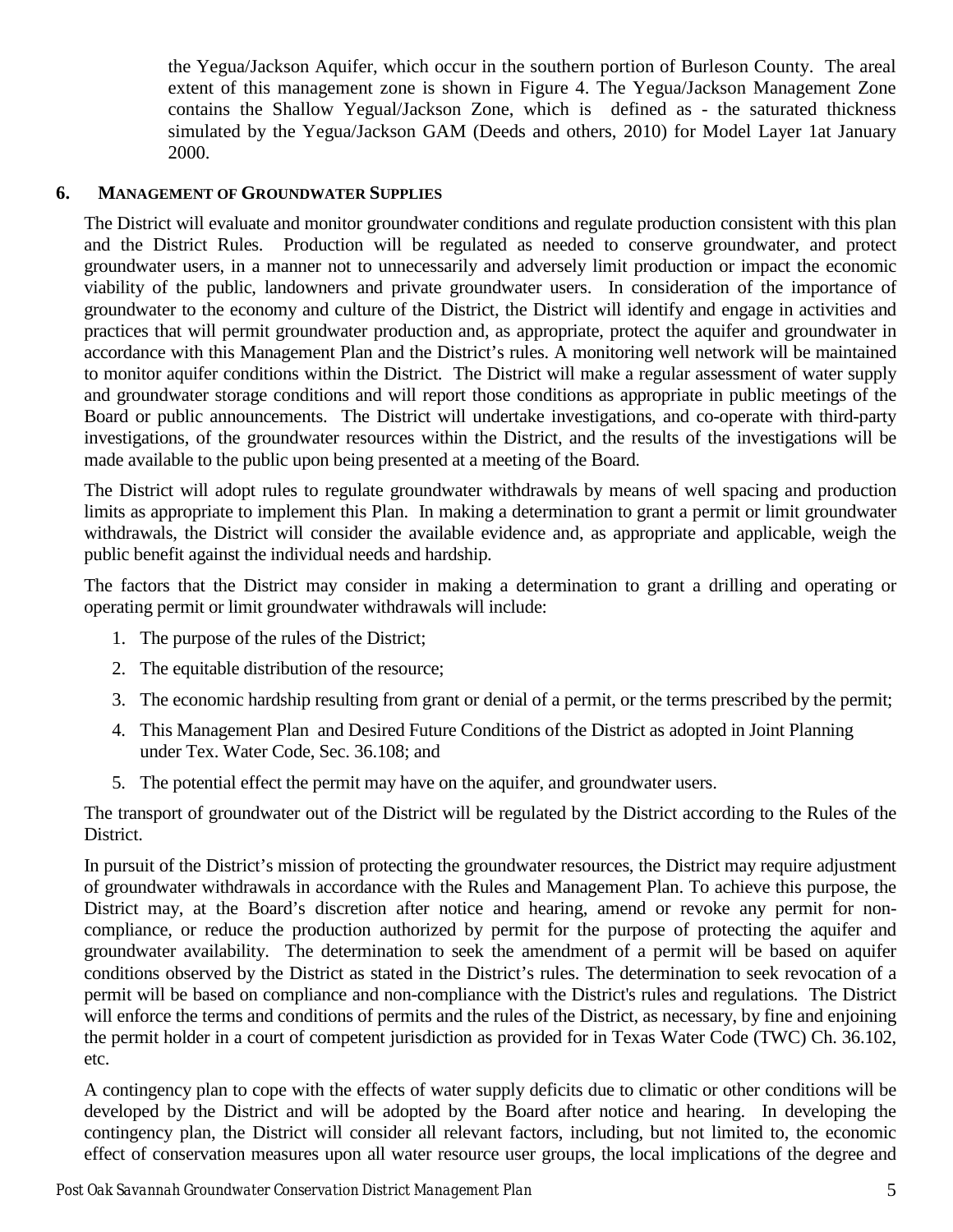the Yegua/Jackson Aquifer, which occur in the southern portion of Burleson County. The areal extent of this management zone is shown in Figure 4. The Yegua/Jackson Management Zone contains the Shallow Yegual/Jackson Zone, which is defined as - the saturated thickness simulated by the Yegua/Jackson GAM (Deeds and others, 2010) for Model Layer 1at January 2000.

# <span id="page-8-0"></span>**6. MANAGEMENT OF GROUNDWATER SUPPLIES**

The District will evaluate and monitor groundwater conditions and regulate production consistent with this plan and the District Rules. Production will be regulated as needed to conserve groundwater, and protect groundwater users, in a manner not to unnecessarily and adversely limit production or impact the economic viability of the public, landowners and private groundwater users. In consideration of the importance of groundwater to the economy and culture of the District, the District will identify and engage in activities and practices that will permit groundwater production and, as appropriate, protect the aquifer and groundwater in accordance with this Management Plan and the District's rules. A monitoring well network will be maintained to monitor aquifer conditions within the District. The District will make a regular assessment of water supply and groundwater storage conditions and will report those conditions as appropriate in public meetings of the Board or public announcements. The District will undertake investigations, and co-operate with third-party investigations, of the groundwater resources within the District, and the results of the investigations will be made available to the public upon being presented at a meeting of the Board.

The District will adopt rules to regulate groundwater withdrawals by means of well spacing and production limits as appropriate to implement this Plan. In making a determination to grant a permit or limit groundwater withdrawals, the District will consider the available evidence and, as appropriate and applicable, weigh the public benefit against the individual needs and hardship.

The factors that the District may consider in making a determination to grant a drilling and operating or operating permit or limit groundwater withdrawals will include:

- 1. The purpose of the rules of the District;
- 2. The equitable distribution of the resource;
- 3. The economic hardship resulting from grant or denial of a permit, or the terms prescribed by the permit;
- 4. This Management Plan and Desired Future Conditions of the District as adopted in Joint Planning under Tex. Water Code, Sec. 36.108; and
- 5. The potential effect the permit may have on the aquifer, and groundwater users.

The transport of groundwater out of the District will be regulated by the District according to the Rules of the District.

In pursuit of the District's mission of protecting the groundwater resources, the District may require adjustment of groundwater withdrawals in accordance with the Rules and Management Plan. To achieve this purpose, the District may, at the Board's discretion after notice and hearing, amend or revoke any permit for noncompliance, or reduce the production authorized by permit for the purpose of protecting the aquifer and groundwater availability. The determination to seek the amendment of a permit will be based on aquifer conditions observed by the District as stated in the District's rules. The determination to seek revocation of a permit will be based on compliance and non-compliance with the District's rules and regulations. The District will enforce the terms and conditions of permits and the rules of the District, as necessary, by fine and enjoining the permit holder in a court of competent jurisdiction as provided for in Texas Water Code (TWC) Ch. 36.102, etc.

A contingency plan to cope with the effects of water supply deficits due to climatic or other conditions will be developed by the District and will be adopted by the Board after notice and hearing. In developing the contingency plan, the District will consider all relevant factors, including, but not limited to, the economic effect of conservation measures upon all water resource user groups, the local implications of the degree and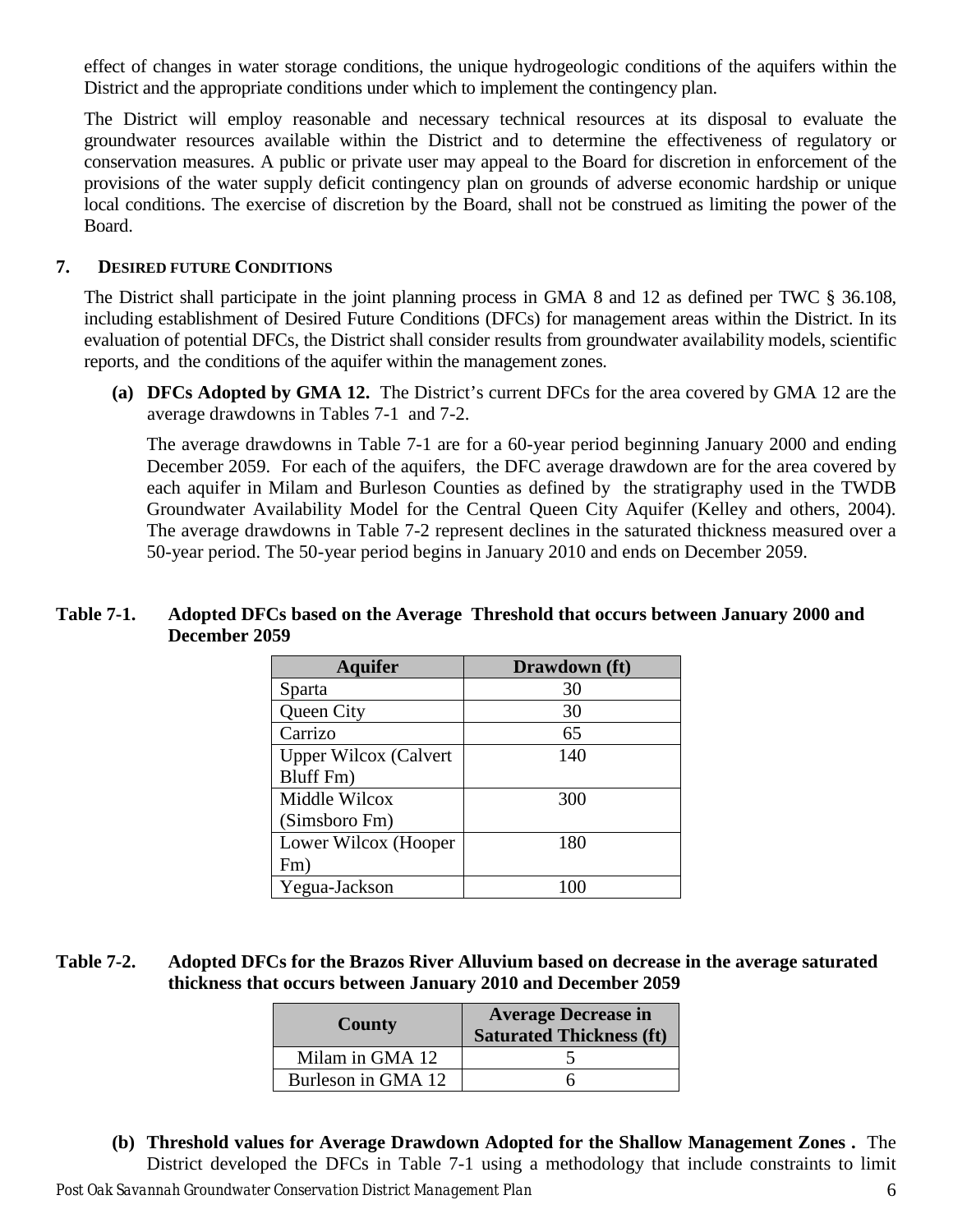effect of changes in water storage conditions, the unique hydrogeologic conditions of the aquifers within the District and the appropriate conditions under which to implement the contingency plan.

The District will employ reasonable and necessary technical resources at its disposal to evaluate the groundwater resources available within the District and to determine the effectiveness of regulatory or conservation measures. A public or private user may appeal to the Board for discretion in enforcement of the provisions of the water supply deficit contingency plan on grounds of adverse economic hardship or unique local conditions. The exercise of discretion by the Board, shall not be construed as limiting the power of the Board.

## <span id="page-9-0"></span>**7. DESIRED FUTURE CONDITIONS**

The District shall participate in the joint planning process in GMA 8 and 12 as defined per TWC § 36.108, including establishment of Desired Future Conditions (DFCs) for management areas within the District. In its evaluation of potential DFCs, the District shall consider results from groundwater availability models, scientific reports, and the conditions of the aquifer within the management zones.

**(a) DFCs Adopted by GMA 12.** The District's current DFCs for the area covered by GMA 12 are the average drawdowns in Tables 7-1 and 7-2.

The average drawdowns in Table 7-1 are for a 60-year period beginning January 2000 and ending December 2059. For each of the aquifers, the DFC average drawdown are for the area covered by each aquifer in Milam and Burleson Counties as defined by the stratigraphy used in the TWDB Groundwater Availability Model for the Central Queen City Aquifer (Kelley and others, 2004). The average drawdowns in Table 7-2 represent declines in the saturated thickness measured over a 50-year period. The 50-year period begins in January 2010 and ends on December 2059.

## <span id="page-9-1"></span>**Table 7-1. Adopted DFCs based on the Average Threshold that occurs between January 2000 and December 2059**

| <b>Aquifer</b>               | Drawdown (ft) |
|------------------------------|---------------|
| Sparta                       | 30            |
| Queen City                   | 30            |
| Carrizo                      | 65            |
| <b>Upper Wilcox (Calvert</b> | 140           |
| Bluff Fm)                    |               |
| Middle Wilcox                | 300           |
| (Simsboro Fm)                |               |
| Lower Wilcox (Hooper         | 180           |
| Fm)                          |               |
| Yegua-Jackson                |               |

# <span id="page-9-2"></span>**Table 7-2. Adopted DFCs for the Brazos River Alluvium based on decrease in the average saturated thickness that occurs between January 2010 and December 2059**

| <b>County</b>      | <b>Average Decrease in</b><br><b>Saturated Thickness (ft)</b> |  |  |  |  |
|--------------------|---------------------------------------------------------------|--|--|--|--|
| Milam in GMA 12    |                                                               |  |  |  |  |
| Burleson in GMA 12 |                                                               |  |  |  |  |

*Post Oak Savannah Groundwater Conservation District Management Plan* 6 **(b) Threshold values for Average Drawdown Adopted for the Shallow Management Zones .** The District developed the DFCs in Table 7-1 using a methodology that include constraints to limit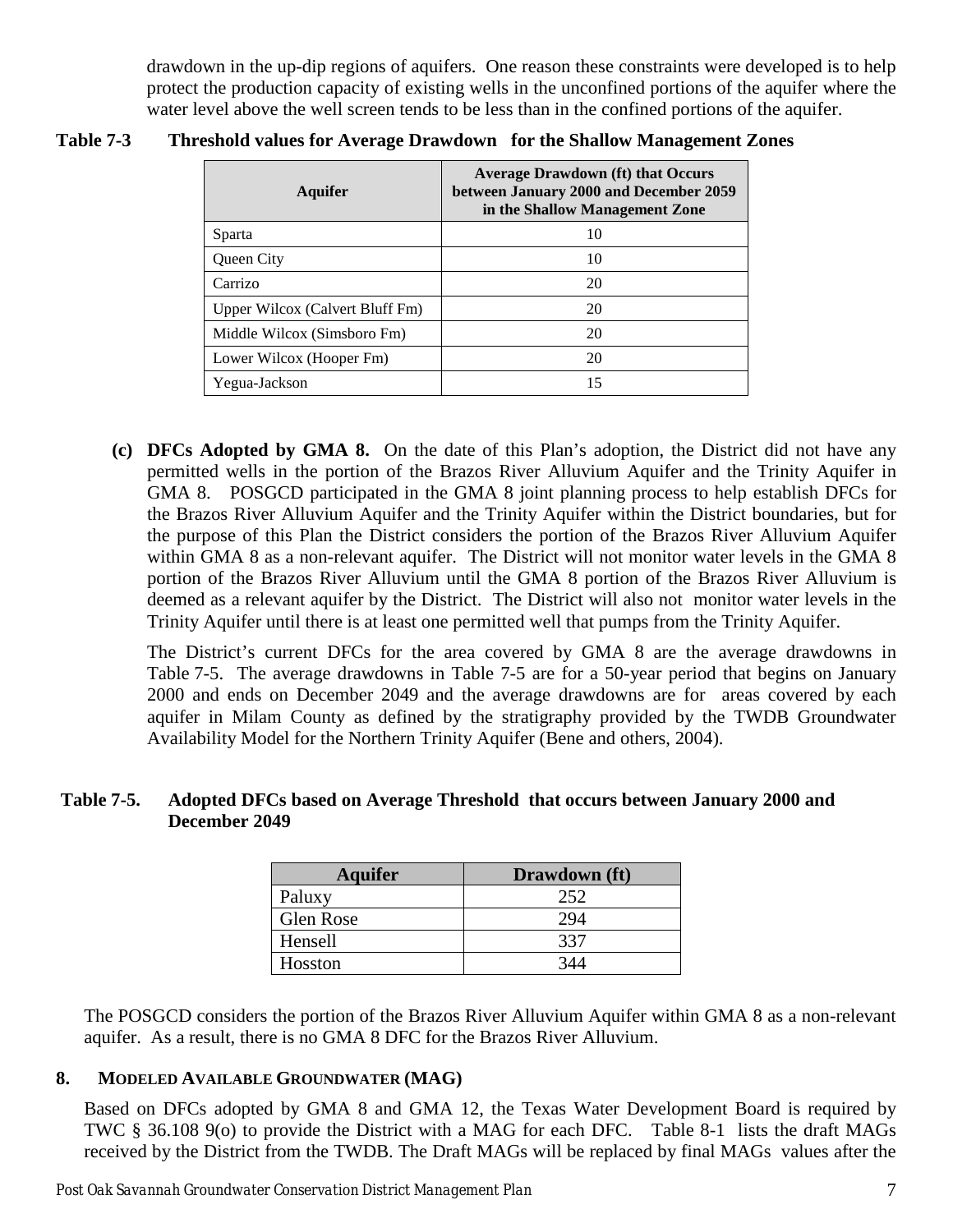drawdown in the up-dip regions of aquifers. One reason these constraints were developed is to help protect the production capacity of existing wells in the unconfined portions of the aquifer where the water level above the well screen tends to be less than in the confined portions of the aquifer.

| Aquifer                         | <b>Average Drawdown (ft) that Occurs</b><br>between January 2000 and December 2059<br>in the Shallow Management Zone |
|---------------------------------|----------------------------------------------------------------------------------------------------------------------|
| Sparta                          | 10                                                                                                                   |
| Queen City                      | 10                                                                                                                   |
| Carrizo                         | 20                                                                                                                   |
| Upper Wilcox (Calvert Bluff Fm) | 20                                                                                                                   |
| Middle Wilcox (Simsboro Fm)     | 20                                                                                                                   |
| Lower Wilcox (Hooper Fm)        | 20                                                                                                                   |
| Yegua-Jackson                   | 15                                                                                                                   |

## <span id="page-10-1"></span>**Table 7-3 Threshold values for Average Drawdown for the Shallow Management Zones**

**(c) DFCs Adopted by GMA 8.** On the date of this Plan's adoption, the District did not have any permitted wells in the portion of the Brazos River Alluvium Aquifer and the Trinity Aquifer in GMA 8. POSGCD participated in the GMA 8 joint planning process to help establish DFCs for the Brazos River Alluvium Aquifer and the Trinity Aquifer within the District boundaries, but for the purpose of this Plan the District considers the portion of the Brazos River Alluvium Aquifer within GMA 8 as a non-relevant aquifer. The District will not monitor water levels in the GMA 8 portion of the Brazos River Alluvium until the GMA 8 portion of the Brazos River Alluvium is deemed as a relevant aquifer by the District. The District will also not monitor water levels in the Trinity Aquifer until there is at least one permitted well that pumps from the Trinity Aquifer.

The District's current DFCs for the area covered by GMA 8 are the average drawdowns in Table 7-5. The average drawdowns in Table 7-5 are for a 50-year period that begins on January 2000 and ends on December 2049 and the average drawdowns are for areas covered by each aquifer in Milam County as defined by the stratigraphy provided by the TWDB Groundwater Availability Model for the Northern Trinity Aquifer (Bene and others, 2004).

## <span id="page-10-2"></span>**Table 7-5. Adopted DFCs based on Average Threshold that occurs between January 2000 and December 2049**

| <b>Aquifer</b> | Drawdown (ft) |
|----------------|---------------|
| Paluxy         | 252           |
| Glen Rose      | 294           |
| Hensell        | 337           |
| Hosston        | 344           |

The POSGCD considers the portion of the Brazos River Alluvium Aquifer within GMA 8 as a non-relevant aquifer. As a result, there is no GMA 8 DFC for the Brazos River Alluvium.

# <span id="page-10-0"></span>**8. MODELED AVAILABLE GROUNDWATER (MAG)**

Based on DFCs adopted by GMA 8 and GMA 12, the Texas Water Development Board is required by TWC § 36.108 9(o) to provide the District with a MAG for each DFC. Table 8-1 lists the draft MAGs received by the District from the TWDB. The Draft MAGs will be replaced by final MAGs values after the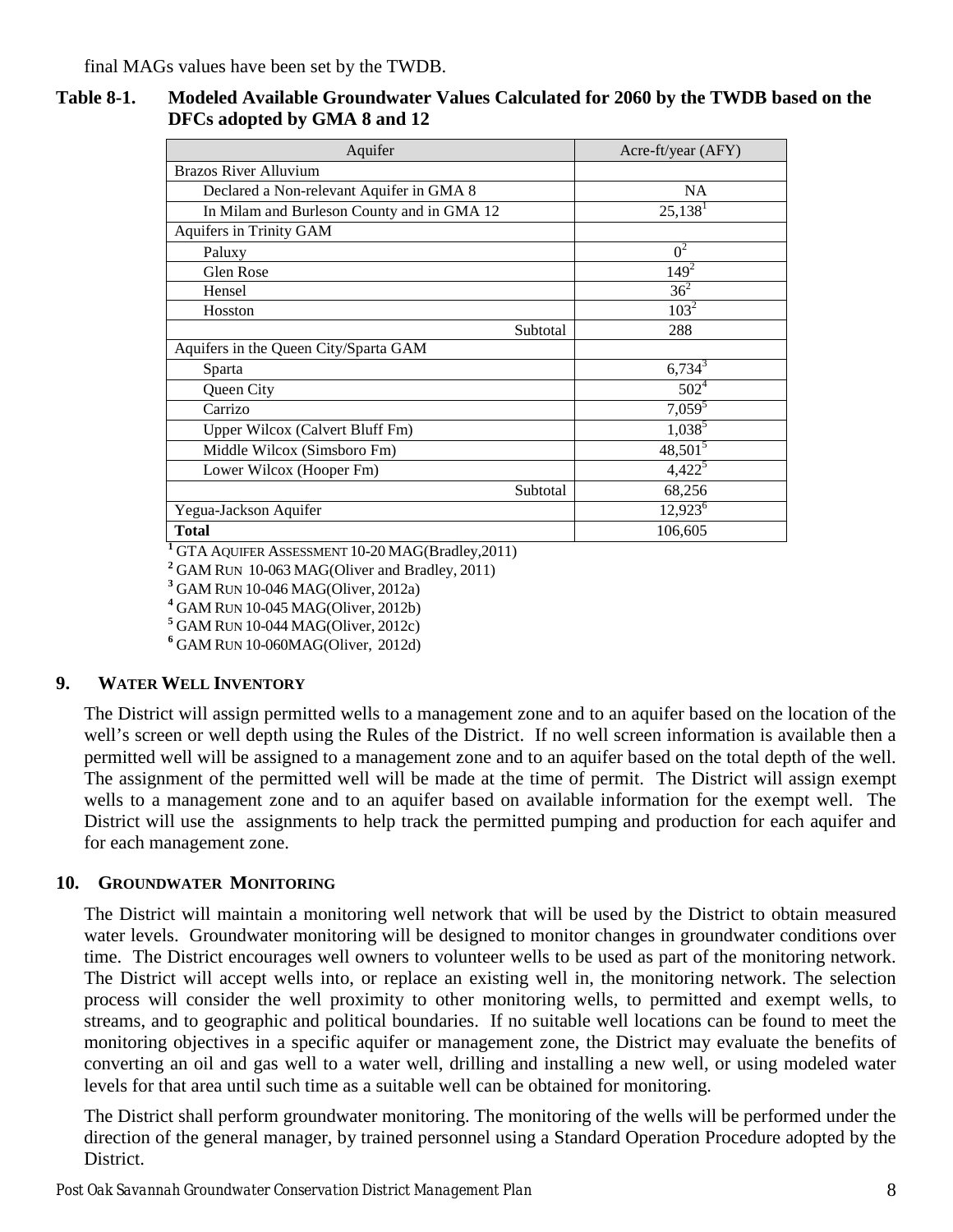final MAGs values have been set by the TWDB.

## <span id="page-11-2"></span>**Table 8-1. Modeled Available Groundwater Values Calculated for 2060 by the TWDB based on the DFCs adopted by GMA 8 and 12**

| Aquifer                                    | Acre-ft/year (AFY)    |
|--------------------------------------------|-----------------------|
| <b>Brazos River Alluvium</b>               |                       |
| Declared a Non-relevant Aquifer in GMA 8   | <b>NA</b>             |
| In Milam and Burleson County and in GMA 12 | $25,138$ <sup>1</sup> |
| Aquifers in Trinity GAM                    |                       |
| Paluxy                                     | $0^2$                 |
| Glen Rose                                  | $149^{2}$             |
| Hensel                                     | $36^2$                |
| Hosston                                    | $103^2$               |
| Subtotal                                   | 288                   |
| Aquifers in the Queen City/Sparta GAM      |                       |
| Sparta                                     | $6,734^3$             |
| Queen City                                 | $502^4$               |
| Carrizo                                    | $7,059^5$             |
| Upper Wilcox (Calvert Bluff Fm)            | $1,038^5$             |
| Middle Wilcox (Simsboro Fm)                | $48,501^5$            |
| Lower Wilcox (Hooper Fm)                   | $4,422^5$             |
| Subtotal                                   | 68,256                |
| Yegua-Jackson Aquifer                      | 12,923 <sup>6</sup>   |
| <b>Total</b>                               | 106,605               |

<sup>1</sup>GTA AQUIFER ASSESSMENT 10-20 MAG(Bradley, 2011)

**<sup>2</sup>**GAM RUN 10-063 MAG(Oliver and Bradley, 2011)

**<sup>3</sup>**GAM RUN 10-046 MAG(Oliver, 2012a)

**<sup>4</sup>**GAM RUN 10-045 MAG(Oliver, 2012b)

**<sup>5</sup>**GAM RUN 10-044 MAG(Oliver, 2012c)

**<sup>6</sup>**GAM RUN 10-060MAG(Oliver, 2012d)

# <span id="page-11-0"></span>**9. WATER WELL INVENTORY**

The District will assign permitted wells to a management zone and to an aquifer based on the location of the well's screen or well depth using the Rules of the District. If no well screen information is available then a permitted well will be assigned to a management zone and to an aquifer based on the total depth of the well. The assignment of the permitted well will be made at the time of permit. The District will assign exempt wells to a management zone and to an aquifer based on available information for the exempt well. The District will use the assignments to help track the permitted pumping and production for each aquifer and for each management zone.

## <span id="page-11-1"></span>**10. GROUNDWATER MONITORING**

The District will maintain a monitoring well network that will be used by the District to obtain measured water levels. Groundwater monitoring will be designed to monitor changes in groundwater conditions over time. The District encourages well owners to volunteer wells to be used as part of the monitoring network. The District will accept wells into, or replace an existing well in, the monitoring network. The selection process will consider the well proximity to other monitoring wells, to permitted and exempt wells, to streams, and to geographic and political boundaries. If no suitable well locations can be found to meet the monitoring objectives in a specific aquifer or management zone, the District may evaluate the benefits of converting an oil and gas well to a water well, drilling and installing a new well, or using modeled water levels for that area until such time as a suitable well can be obtained for monitoring.

The District shall perform groundwater monitoring. The monitoring of the wells will be performed under the direction of the general manager, by trained personnel using a Standard Operation Procedure adopted by the District.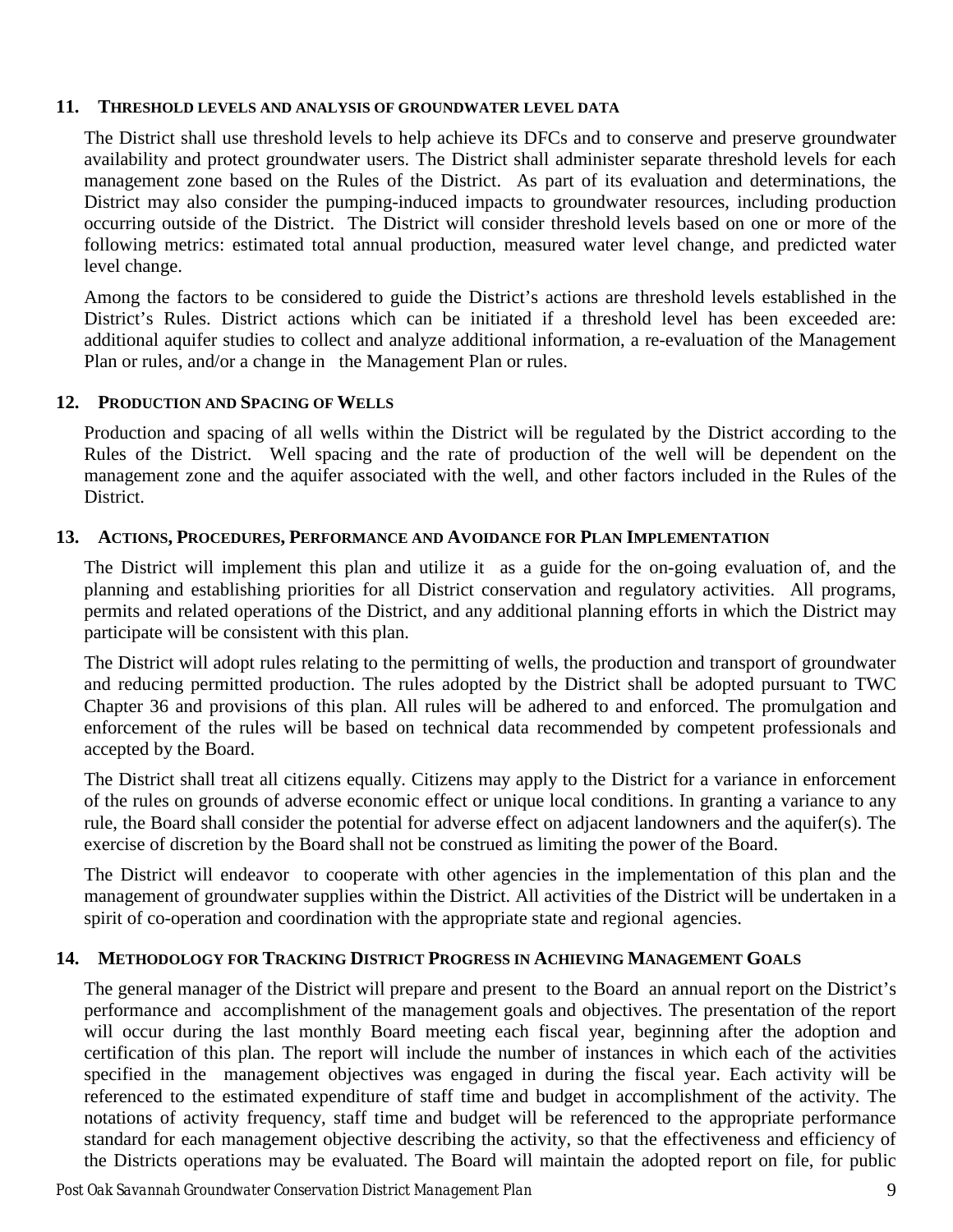## <span id="page-12-0"></span>**11. THRESHOLD LEVELS AND ANALYSIS OF GROUNDWATER LEVEL DATA**

The District shall use threshold levels to help achieve its DFCs and to conserve and preserve groundwater availability and protect groundwater users. The District shall administer separate threshold levels for each management zone based on the Rules of the District. As part of its evaluation and determinations, the District may also consider the pumping-induced impacts to groundwater resources, including production occurring outside of the District. The District will consider threshold levels based on one or more of the following metrics: estimated total annual production, measured water level change, and predicted water level change.

Among the factors to be considered to guide the District's actions are threshold levels established in the District's Rules. District actions which can be initiated if a threshold level has been exceeded are: additional aquifer studies to collect and analyze additional information, a re-evaluation of the Management Plan or rules, and/or a change in the Management Plan or rules.

## <span id="page-12-1"></span>**12. PRODUCTION AND SPACING OF WELLS**

Production and spacing of all wells within the District will be regulated by the District according to the Rules of the District. Well spacing and the rate of production of the well will be dependent on the management zone and the aquifer associated with the well, and other factors included in the Rules of the District.

## <span id="page-12-2"></span>**13. ACTIONS, PROCEDURES, PERFORMANCE AND AVOIDANCE FOR PLAN IMPLEMENTATION**

The District will implement this plan and utilize it as a guide for the on-going evaluation of, and the planning and establishing priorities for all District conservation and regulatory activities. All programs, permits and related operations of the District, and any additional planning efforts in which the District may participate will be consistent with this plan.

The District will adopt rules relating to the permitting of wells, the production and transport of groundwater and reducing permitted production. The rules adopted by the District shall be adopted pursuant to TWC Chapter 36 and provisions of this plan. All rules will be adhered to and enforced. The promulgation and enforcement of the rules will be based on technical data recommended by competent professionals and accepted by the Board.

The District shall treat all citizens equally. Citizens may apply to the District for a variance in enforcement of the rules on grounds of adverse economic effect or unique local conditions. In granting a variance to any rule, the Board shall consider the potential for adverse effect on adjacent landowners and the aquifer(s). The exercise of discretion by the Board shall not be construed as limiting the power of the Board.

The District will endeavor to cooperate with other agencies in the implementation of this plan and the management of groundwater supplies within the District. All activities of the District will be undertaken in a spirit of co-operation and coordination with the appropriate state and regional agencies.

## <span id="page-12-3"></span>**14. METHODOLOGY FOR TRACKING DISTRICT PROGRESS IN ACHIEVING MANAGEMENT GOALS**

The general manager of the District will prepare and present to the Board an annual report on the District's performance and accomplishment of the management goals and objectives. The presentation of the report will occur during the last monthly Board meeting each fiscal year, beginning after the adoption and certification of this plan. The report will include the number of instances in which each of the activities specified in the management objectives was engaged in during the fiscal year. Each activity will be referenced to the estimated expenditure of staff time and budget in accomplishment of the activity. The notations of activity frequency, staff time and budget will be referenced to the appropriate performance standard for each management objective describing the activity, so that the effectiveness and efficiency of the Districts operations may be evaluated. The Board will maintain the adopted report on file, for public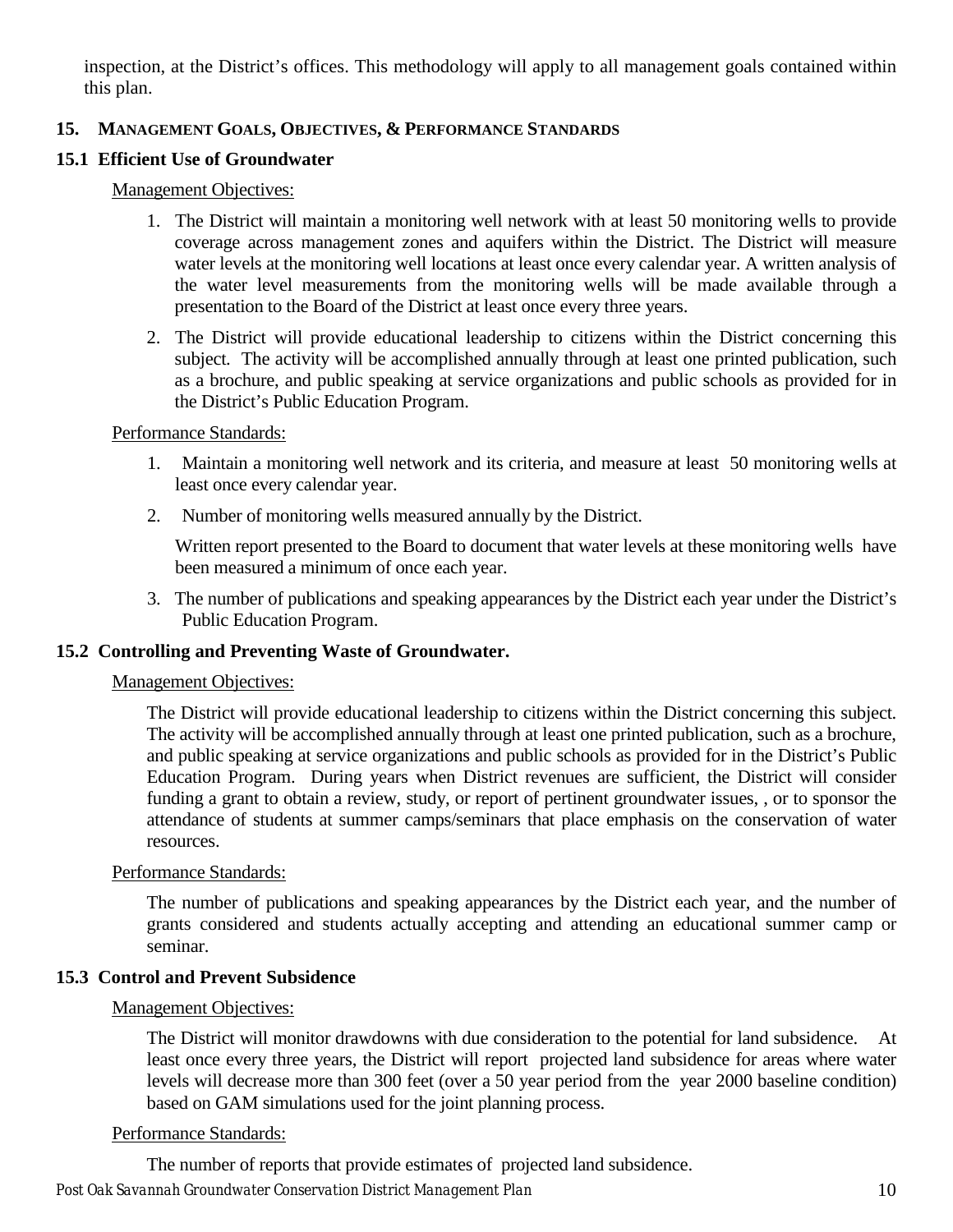inspection, at the District's offices. This methodology will apply to all management goals contained within this plan.

# <span id="page-13-0"></span>**15. MANAGEMENT GOALS, OBJECTIVES, & PERFORMANCE STANDARDS**

# <span id="page-13-1"></span>**15.1 Efficient Use of Groundwater**

## Management Objectives:

- 1. The District will maintain a monitoring well network with at least 50 monitoring wells to provide coverage across management zones and aquifers within the District. The District will measure water levels at the monitoring well locations at least once every calendar year. A written analysis of the water level measurements from the monitoring wells will be made available through a presentation to the Board of the District at least once every three years.
- 2. The District will provide educational leadership to citizens within the District concerning this subject. The activity will be accomplished annually through at least one printed publication, such as a brochure, and public speaking at service organizations and public schools as provided for in the District's Public Education Program.

## Performance Standards:

- 1. Maintain a monitoring well network and its criteria, and measure at least 50 monitoring wells at least once every calendar year.
- 2. Number of monitoring wells measured annually by the District.

Written report presented to the Board to document that water levels at these monitoring wells have been measured a minimum of once each year.

3. The number of publications and speaking appearances by the District each year under the District's Public Education Program.

# <span id="page-13-2"></span>**15.2 Controlling and Preventing Waste of Groundwater.**

## Management Objectives:

The District will provide educational leadership to citizens within the District concerning this subject. The activity will be accomplished annually through at least one printed publication, such as a brochure, and public speaking at service organizations and public schools as provided for in the District's Public Education Program. During years when District revenues are sufficient, the District will consider funding a grant to obtain a review, study, or report of pertinent groundwater issues, , or to sponsor the attendance of students at summer camps/seminars that place emphasis on the conservation of water resources.

# Performance Standards:

The number of publications and speaking appearances by the District each year, and the number of grants considered and students actually accepting and attending an educational summer camp or seminar.

# <span id="page-13-3"></span>**15.3 Control and Prevent Subsidence**

## Management Objectives:

The District will monitor drawdowns with due consideration to the potential for land subsidence. At least once every three years, the District will report projected land subsidence for areas where water levels will decrease more than 300 feet (over a 50 year period from the year 2000 baseline condition) based on GAM simulations used for the joint planning process.

## Performance Standards:

The number of reports that provide estimates of projected land subsidence.

## *Post Oak Savannah Groundwater Conservation District Management Plan* 10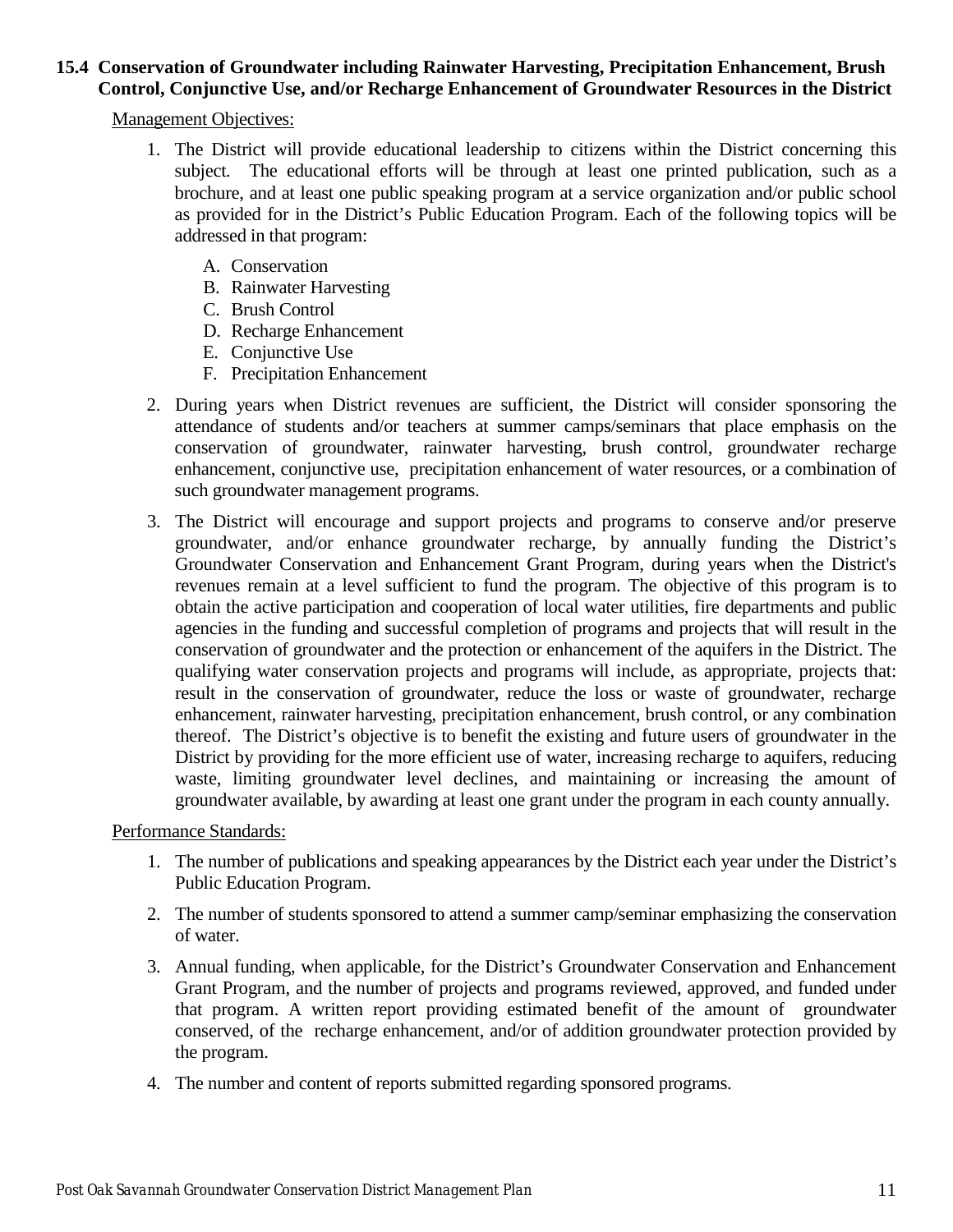# <span id="page-14-0"></span>**15.4 Conservation of Groundwater including Rainwater Harvesting, Precipitation Enhancement, Brush Control, Conjunctive Use, and/or Recharge Enhancement of Groundwater Resources in the District**

## Management Objectives:

- 1. The District will provide educational leadership to citizens within the District concerning this subject. The educational efforts will be through at least one printed publication, such as a brochure, and at least one public speaking program at a service organization and/or public school as provided for in the District's Public Education Program. Each of the following topics will be addressed in that program:
	- A. Conservation
	- B. Rainwater Harvesting
	- C. Brush Control
	- D. Recharge Enhancement
	- E. Conjunctive Use
	- F. Precipitation Enhancement
- 2. During years when District revenues are sufficient, the District will consider sponsoring the attendance of students and/or teachers at summer camps/seminars that place emphasis on the conservation of groundwater, rainwater harvesting, brush control, groundwater recharge enhancement, conjunctive use, precipitation enhancement of water resources, or a combination of such groundwater management programs.
- 3. The District will encourage and support projects and programs to conserve and/or preserve groundwater, and/or enhance groundwater recharge, by annually funding the District's Groundwater Conservation and Enhancement Grant Program, during years when the District's revenues remain at a level sufficient to fund the program. The objective of this program is to obtain the active participation and cooperation of local water utilities, fire departments and public agencies in the funding and successful completion of programs and projects that will result in the conservation of groundwater and the protection or enhancement of the aquifers in the District. The qualifying water conservation projects and programs will include, as appropriate, projects that: result in the conservation of groundwater, reduce the loss or waste of groundwater, recharge enhancement, rainwater harvesting, precipitation enhancement, brush control, or any combination thereof. The District's objective is to benefit the existing and future users of groundwater in the District by providing for the more efficient use of water, increasing recharge to aquifers, reducing waste, limiting groundwater level declines, and maintaining or increasing the amount of groundwater available, by awarding at least one grant under the program in each county annually.

Performance Standards:

- 1. The number of publications and speaking appearances by the District each year under the District's Public Education Program.
- 2. The number of students sponsored to attend a summer camp/seminar emphasizing the conservation of water.
- 3. Annual funding, when applicable, for the District's Groundwater Conservation and Enhancement Grant Program, and the number of projects and programs reviewed, approved, and funded under that program. A written report providing estimated benefit of the amount of groundwater conserved, of the recharge enhancement, and/or of addition groundwater protection provided by the program.
- 4. The number and content of reports submitted regarding sponsored programs.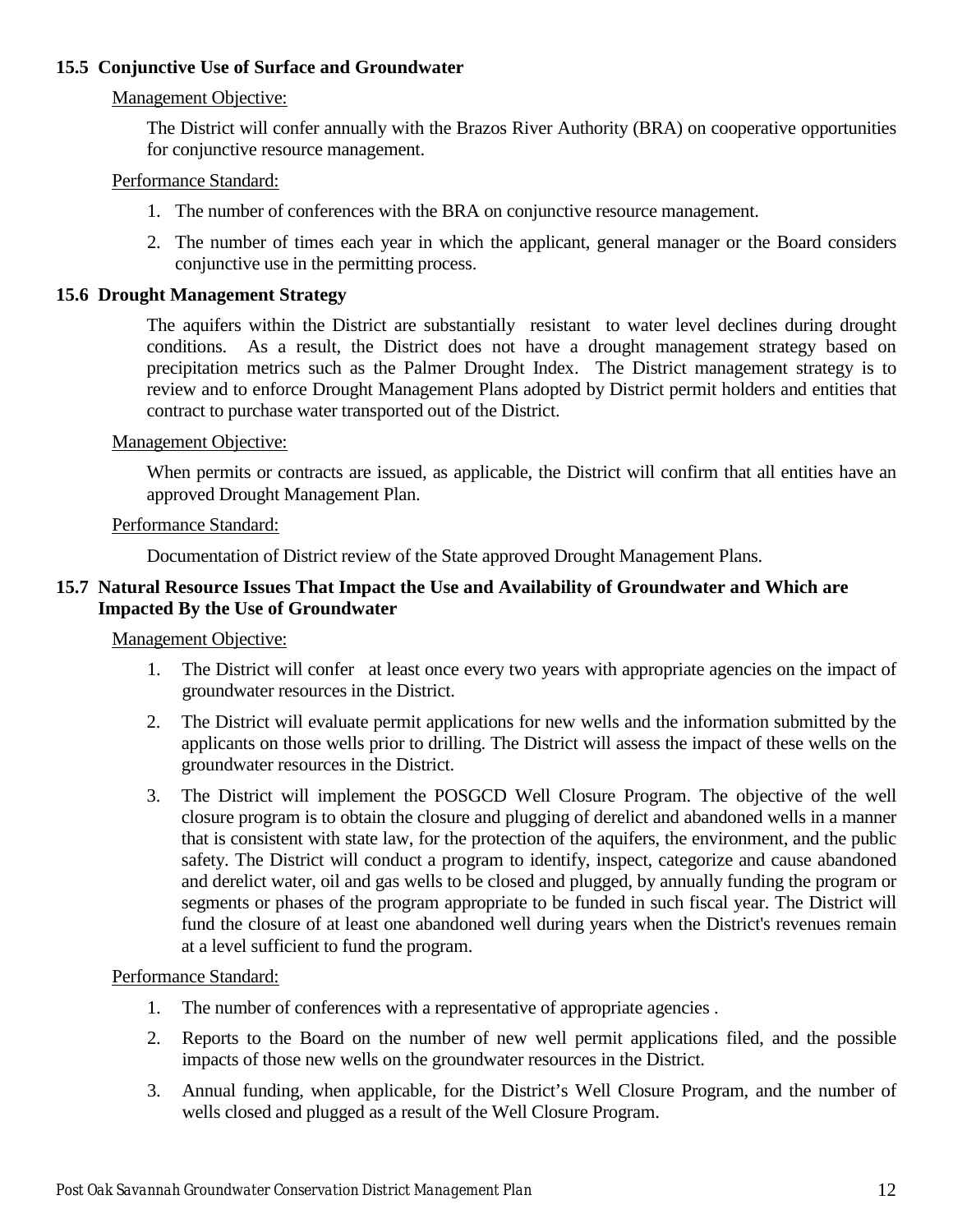# <span id="page-15-0"></span>**15.5 Conjunctive Use of Surface and Groundwater**

# Management Objective:

The District will confer annually with the Brazos River Authority (BRA) on cooperative opportunities for conjunctive resource management.

## Performance Standard:

- 1. The number of conferences with the BRA on conjunctive resource management.
- 2. The number of times each year in which the applicant, general manager or the Board considers conjunctive use in the permitting process.

## <span id="page-15-1"></span>**15.6 Drought Management Strategy**

The aquifers within the District are substantially resistant to water level declines during drought conditions. As a result, the District does not have a drought management strategy based on precipitation metrics such as the Palmer Drought Index. The District management strategy is to review and to enforce Drought Management Plans adopted by District permit holders and entities that contract to purchase water transported out of the District.

## Management Objective:

When permits or contracts are issued, as applicable, the District will confirm that all entities have an approved Drought Management Plan.

## Performance Standard:

Documentation of District review of the State approved Drought Management Plans.

# <span id="page-15-2"></span>**15.7 Natural Resource Issues That Impact the Use and Availability of Groundwater and Which are Impacted By the Use of Groundwater**

## Management Objective:

- 1. The District will confer at least once every two years with appropriate agencies on the impact of groundwater resources in the District.
- 2. The District will evaluate permit applications for new wells and the information submitted by the applicants on those wells prior to drilling. The District will assess the impact of these wells on the groundwater resources in the District.
- 3. The District will implement the POSGCD Well Closure Program. The objective of the well closure program is to obtain the closure and plugging of derelict and abandoned wells in a manner that is consistent with state law, for the protection of the aquifers, the environment, and the public safety. The District will conduct a program to identify, inspect, categorize and cause abandoned and derelict water, oil and gas wells to be closed and plugged, by annually funding the program or segments or phases of the program appropriate to be funded in such fiscal year. The District will fund the closure of at least one abandoned well during years when the District's revenues remain at a level sufficient to fund the program.

## Performance Standard:

- 1. The number of conferences with a representative of appropriate agencies .
- 2. Reports to the Board on the number of new well permit applications filed, and the possible impacts of those new wells on the groundwater resources in the District.
- 3. Annual funding, when applicable, for the District's Well Closure Program, and the number of wells closed and plugged as a result of the Well Closure Program.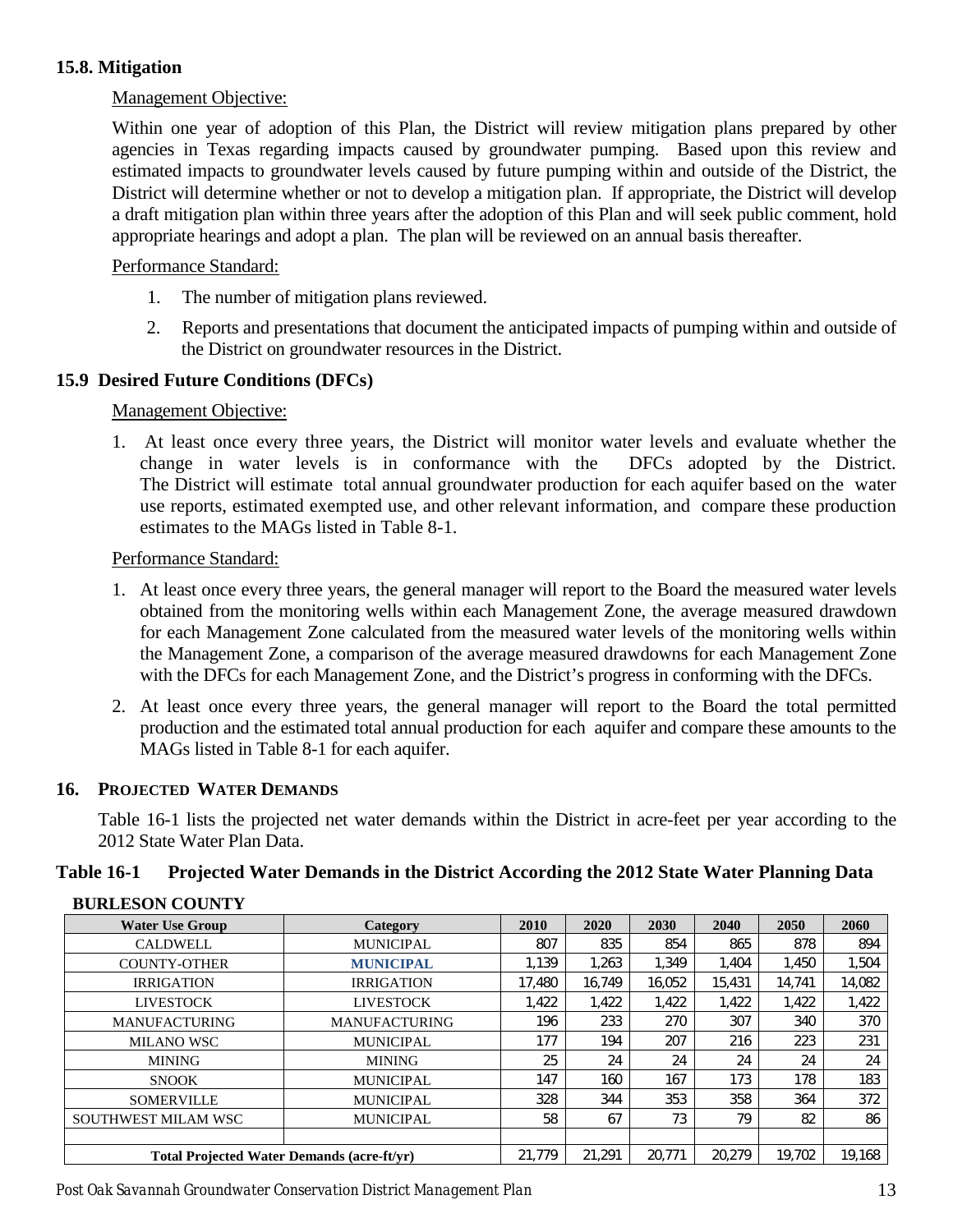# <span id="page-16-0"></span>**15.8. Mitigation**

## Management Objective:

Within one year of adoption of this Plan, the District will review mitigation plans prepared by other agencies in Texas regarding impacts caused by groundwater pumping. Based upon this review and estimated impacts to groundwater levels caused by future pumping within and outside of the District, the District will determine whether or not to develop a mitigation plan. If appropriate, the District will develop a draft mitigation plan within three years after the adoption of this Plan and will seek public comment, hold appropriate hearings and adopt a plan. The plan will be reviewed on an annual basis thereafter.

## Performance Standard:

- 1. The number of mitigation plans reviewed.
- 2. Reports and presentations that document the anticipated impacts of pumping within and outside of the District on groundwater resources in the District.

## <span id="page-16-1"></span>**15.9 Desired Future Conditions (DFCs)**

## Management Objective:

1. At least once every three years, the District will monitor water levels and evaluate whether the change in water levels is in conformance with the DFCs adopted by the District. The District will estimate total annual groundwater production for each aquifer based on the water use reports, estimated exempted use, and other relevant information, and compare these production estimates to the MAGs listed in Table 8-1.

#### Performance Standard:

- 1. At least once every three years, the general manager will report to the Board the measured water levels obtained from the monitoring wells within each Management Zone, the average measured drawdown for each Management Zone calculated from the measured water levels of the monitoring wells within the Management Zone, a comparison of the average measured drawdowns for each Management Zone with the DFCs for each Management Zone, and the District's progress in conforming with the DFCs.
- 2. At least once every three years, the general manager will report to the Board the total permitted production and the estimated total annual production for each aquifer and compare these amounts to the MAGs listed in Table 8-1 for each aquifer.

## <span id="page-16-2"></span>**16. PROJECTED WATER DEMANDS**

Table 16-1 lists the projected net water demands within the District in acre-feet per year according to the 2012 State Water Plan Data.

# <span id="page-16-3"></span>**Table 16-1 Projected Water Demands in the District According the 2012 State Water Planning Data**

| DUNLESUN COUNTI                                   |                      |        |        |        |        |        |        |
|---------------------------------------------------|----------------------|--------|--------|--------|--------|--------|--------|
| <b>Water Use Group</b>                            | Category             | 2010   | 2020   | 2030   | 2040   | 2050   | 2060   |
| <b>CALDWELL</b>                                   | <b>MUNICIPAL</b>     | 807    | 835    | 854    | 865    | 878    | 894    |
| <b>COUNTY-OTHER</b>                               | <b>MUNICIPAL</b>     | 1.139  | 1,263  | 1,349  | 1.404  | 1.450  | 1,504  |
| <b>IRRIGATION</b>                                 | <b>IRRIGATION</b>    | 17,480 | 16.749 | 16,052 | 15,431 | 14.741 | 14,082 |
| <b>LIVESTOCK</b>                                  | <b>LIVESTOCK</b>     | 1.422  | 1,422  | 1,422  | 1,422  | 1.422  | 1,422  |
| <b>MANUFACTURING</b>                              | <b>MANUFACTURING</b> | 196    | 233    | 270    | 307    | 340    | 370    |
| <b>MILANO WSC</b>                                 | <b>MUNICIPAL</b>     | 177    | 194    | 207    | 216    | 223    | 231    |
| <b>MINING</b>                                     | <b>MINING</b>        | 25     | 24     | 24     | 24     | 24     | 24     |
| <b>SNOOK</b>                                      | <b>MUNICIPAL</b>     | 147    | 160    | 167    | 173    | 178    | 183    |
| <b>SOMERVILLE</b>                                 | <b>MUNICIPAL</b>     | 328    | 344    | 353    | 358    | 364    | 372    |
| SOUTHWEST MILAM WSC                               | <b>MUNICIPAL</b>     | 58     | 67     | 73     | 79     | 82     | 86     |
|                                                   |                      |        |        |        |        |        |        |
| <b>Total Projected Water Demands (acre-ft/yr)</b> |                      |        | 21.291 | 20,771 | 20,279 | 19.702 | 19,168 |

#### **BURLESON COUNTY**

*Post Oak Savannah Groundwater Conservation District Management Plan* 13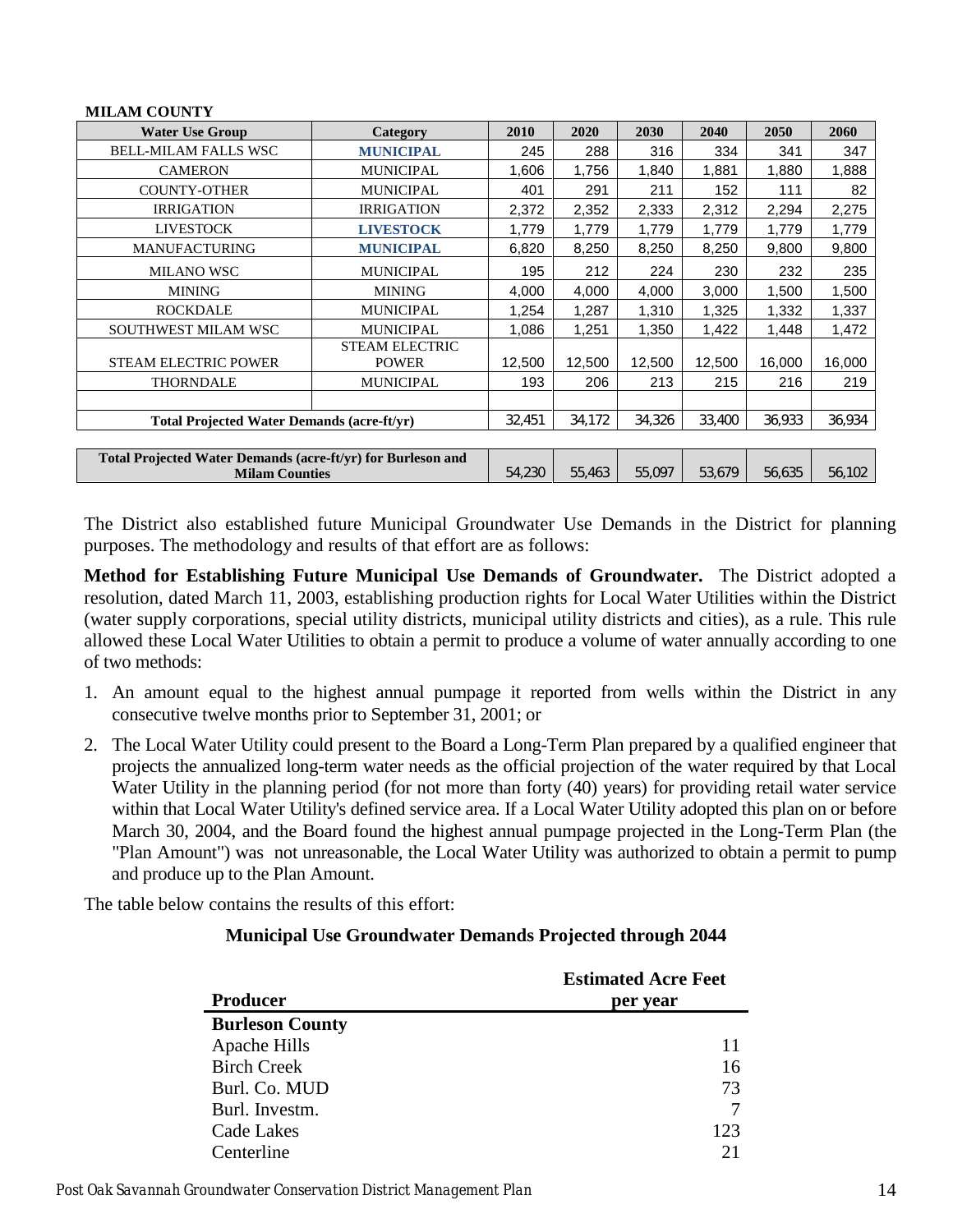| <b>MILAM COUNTY</b>                                                                  |                                       |        |        |        |        |        |        |
|--------------------------------------------------------------------------------------|---------------------------------------|--------|--------|--------|--------|--------|--------|
| <b>Water Use Group</b>                                                               | <b>Category</b>                       | 2010   | 2020   | 2030   | 2040   | 2050   | 2060   |
| <b>BELL-MILAM FALLS WSC</b>                                                          | <b>MUNICIPAL</b>                      | 245    | 288    | 316    | 334    | 341    | 347    |
| <b>CAMERON</b>                                                                       | <b>MUNICIPAL</b>                      | 1,606  | 1,756  | 1,840  | 1,881  | 1,880  | 1,888  |
| <b>COUNTY-OTHER</b>                                                                  | <b>MUNICIPAL</b>                      | 401    | 291    | 211    | 152    | 111    | 82     |
| <b>IRRIGATION</b>                                                                    | <b>IRRIGATION</b>                     | 2,372  | 2,352  | 2,333  | 2,312  | 2,294  | 2,275  |
| <b>LIVESTOCK</b>                                                                     | <b>LIVESTOCK</b>                      | 1,779  | 1,779  | 1,779  | 1,779  | 1,779  | 1,779  |
| <b>MANUFACTURING</b>                                                                 | <b>MUNICIPAL</b>                      | 6,820  | 8,250  | 8,250  | 8,250  | 9,800  | 9,800  |
| <b>MILANO WSC</b>                                                                    | <b>MUNICIPAL</b>                      | 195    | 212    | 224    | 230    | 232    | 235    |
| <b>MINING</b>                                                                        | <b>MINING</b>                         | 4,000  | 4,000  | 4,000  | 3,000  | 1,500  | 1,500  |
| <b>ROCKDALE</b>                                                                      | <b>MUNICIPAL</b>                      | 1,254  | 1,287  | 1,310  | 1,325  | 1,332  | 1,337  |
| <b>SOUTHWEST MILAM WSC</b>                                                           | <b>MUNICIPAL</b>                      | 1,086  | 1,251  | 1,350  | 1,422  | 1,448  | 1,472  |
| <b>STEAM ELECTRIC POWER</b>                                                          | <b>STEAM ELECTRIC</b><br><b>POWER</b> | 12,500 | 12,500 | 12,500 | 12,500 | 16,000 | 16,000 |
| <b>THORNDALE</b>                                                                     | <b>MUNICIPAL</b>                      | 193    | 206    | 213    | 215    | 216    | 219    |
|                                                                                      |                                       |        |        |        |        |        |        |
| <b>Total Projected Water Demands (acre-ft/yr)</b>                                    |                                       | 32,451 | 34,172 | 34,326 | 33,400 | 36,933 | 36,934 |
|                                                                                      |                                       |        |        |        |        |        |        |
| Total Projected Water Demands (acre-ft/yr) for Burleson and<br><b>Milam Counties</b> |                                       |        | 55,463 | 55,097 | 53,679 | 56,635 | 56,102 |

The District also established future Municipal Groundwater Use Demands in the District for planning purposes. The methodology and results of that effort are as follows:

**Method for Establishing Future Municipal Use Demands of Groundwater.** The District adopted a resolution, dated March 11, 2003, establishing production rights for Local Water Utilities within the District (water supply corporations, special utility districts, municipal utility districts and cities), as a rule. This rule allowed these Local Water Utilities to obtain a permit to produce a volume of water annually according to one of two methods:

- 1. An amount equal to the highest annual pumpage it reported from wells within the District in any consecutive twelve months prior to September 31, 2001; or
- 2. The Local Water Utility could present to the Board a Long-Term Plan prepared by a qualified engineer that projects the annualized long-term water needs as the official projection of the water required by that Local Water Utility in the planning period (for not more than forty (40) years) for providing retail water service within that Local Water Utility's defined service area. If a Local Water Utility adopted this plan on or before March 30, 2004, and the Board found the highest annual pumpage projected in the Long-Term Plan (the "Plan Amount") was not unreasonable, the Local Water Utility was authorized to obtain a permit to pump and produce up to the Plan Amount.

The table below contains the results of this effort:

## **Municipal Use Groundwater Demands Projected through 2044**

|                        | <b>Estimated Acre Feet</b> |
|------------------------|----------------------------|
| <b>Producer</b>        | per year                   |
| <b>Burleson County</b> |                            |
| Apache Hills           | 11                         |
| <b>Birch Creek</b>     | 16                         |
| Burl. Co. MUD          | 73                         |
| Burl. Investm.         |                            |
| Cade Lakes             | 123                        |
| Centerline             | 21                         |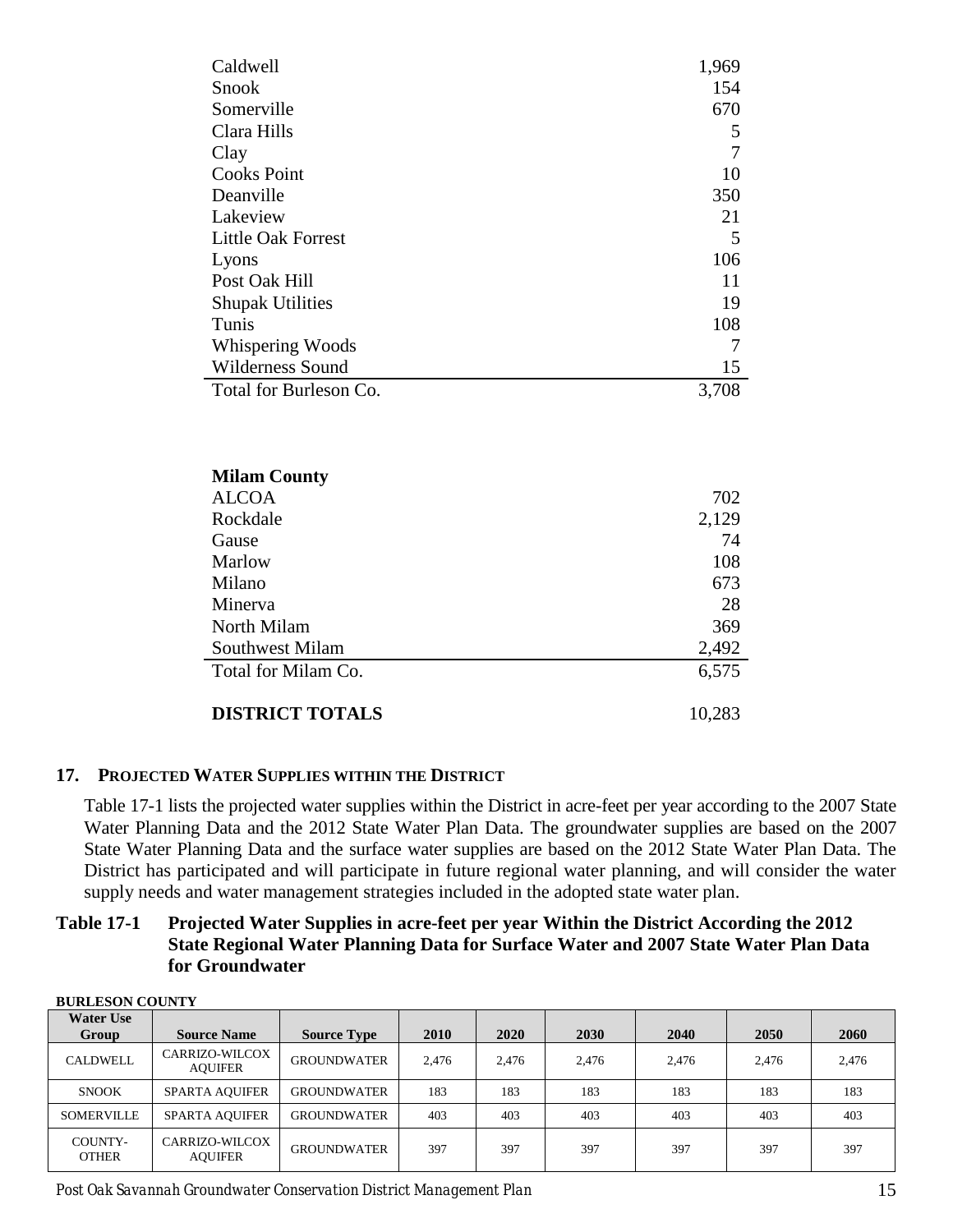| Caldwell                  | 1,969 |
|---------------------------|-------|
| <b>Snook</b>              | 154   |
| Somerville                | 670   |
| Clara Hills               | 5     |
| Clay                      | 7     |
| <b>Cooks Point</b>        | 10    |
| Deanville                 | 350   |
| Lakeview                  | 21    |
| <b>Little Oak Forrest</b> | 5     |
| Lyons                     | 106   |
| Post Oak Hill             | 11    |
| <b>Shupak Utilities</b>   | 19    |
| Tunis                     | 108   |
| Whispering Woods          | 7     |
| <b>Wilderness Sound</b>   | 15    |
| Total for Burleson Co.    | 3,708 |

| <b>Milam County</b>    |        |
|------------------------|--------|
| <b>ALCOA</b>           | 702    |
| Rockdale               | 2,129  |
| Gause                  | 74     |
| Marlow                 | 108    |
| Milano                 | 673    |
| Minerva                | 28     |
| North Milam            | 369    |
| Southwest Milam        | 2,492  |
| Total for Milam Co.    | 6,575  |
| <b>DISTRICT TOTALS</b> | 10,283 |

# <span id="page-18-0"></span>**17. PROJECTED WATER SUPPLIES WITHIN THE DISTRICT**

Table 17-1 lists the projected water supplies within the District in acre-feet per year according to the 2007 State Water Planning Data and the 2012 State Water Plan Data. The groundwater supplies are based on the 2007 State Water Planning Data and the surface water supplies are based on the 2012 State Water Plan Data. The District has participated and will participate in future regional water planning, and will consider the water supply needs and water management strategies included in the adopted state water plan.

## <span id="page-18-1"></span>**Table 17-1 Projected Water Supplies in acre-feet per year Within the District According the 2012 State Regional Water Planning Data for Surface Water and 2007 State Water Plan Data for Groundwater**

| <b>BURLESON COUNTY</b>    |                                  |                    |             |       |             |       |       |       |  |  |  |
|---------------------------|----------------------------------|--------------------|-------------|-------|-------------|-------|-------|-------|--|--|--|
| <b>Water Use</b><br>Group | <b>Source Name</b>               | <b>Source Type</b> | <b>2010</b> | 2020  | <b>2030</b> | 2040  | 2050  | 2060  |  |  |  |
| <b>CALDWELL</b>           | CARRIZO-WILCOX<br><b>AOUIFER</b> | <b>GROUNDWATER</b> | 2.476       | 2,476 | 2,476       | 2.476 | 2.476 | 2,476 |  |  |  |
| <b>SNOOK</b>              | <b>SPARTA AQUIFER</b>            | <b>GROUNDWATER</b> | 183         | 183   | 183         | 183   | 183   | 183   |  |  |  |
| <b>SOMERVILLE</b>         | <b>SPARTA AQUIFER</b>            | <b>GROUNDWATER</b> | 403         | 403   | 403         | 403   | 403   | 403   |  |  |  |
| COUNTY-<br><b>OTHER</b>   | CARRIZO-WILCOX<br><b>AOUIFER</b> | <b>GROUNDWATER</b> | 397         | 397   | 397         | 397   | 397   | 397   |  |  |  |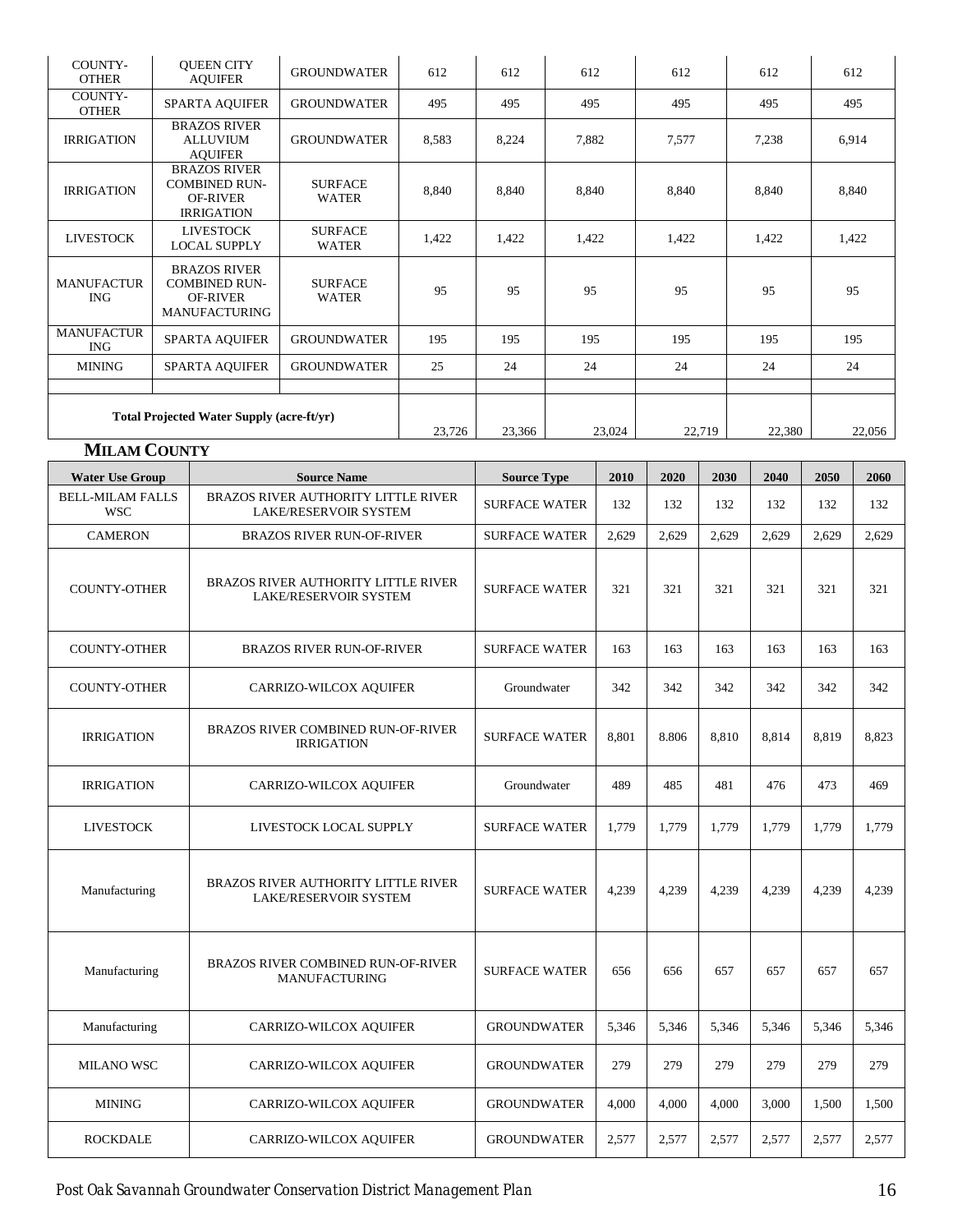| COUNTY-<br><b>OTHER</b>                          | <b>OUEEN CITY</b><br><b>AQUIFER</b>                                                    | <b>GROUNDWATER</b>             | 612    | 612    | 612    | 612    | 612   | 612   |
|--------------------------------------------------|----------------------------------------------------------------------------------------|--------------------------------|--------|--------|--------|--------|-------|-------|
| COUNTY-<br><b>OTHER</b>                          | <b>SPARTA AQUIFER</b>                                                                  | <b>GROUNDWATER</b>             | 495    | 495    | 495    | 495    | 495   | 495   |
| <b>IRRIGATION</b>                                | <b>BRAZOS RIVER</b><br><b>ALLUVIUM</b><br><b>AOUIFER</b>                               | <b>GROUNDWATER</b>             | 8,583  | 8,224  | 7,882  | 7,577  | 7,238 | 6,914 |
| <b>IRRIGATION</b>                                | <b>BRAZOS RIVER</b><br><b>COMBINED RUN-</b><br><b>OF-RIVER</b><br><b>IRRIGATION</b>    | <b>SURFACE</b><br><b>WATER</b> | 8,840  | 8,840  | 8,840  | 8,840  | 8,840 | 8,840 |
| <b>LIVESTOCK</b>                                 | <b>LIVESTOCK</b><br><b>LOCAL SUPPLY</b>                                                | <b>SURFACE</b><br><b>WATER</b> | 1,422  | 1,422  | 1,422  | 1,422  | 1,422 | 1,422 |
| <b>MANUFACTUR</b><br><b>ING</b>                  | <b>BRAZOS RIVER</b><br><b>COMBINED RUN-</b><br><b>OF-RIVER</b><br><b>MANUFACTURING</b> | <b>SURFACE</b><br><b>WATER</b> | 95     | 95     | 95     | 95     | 95    | 95    |
| <b>MANUFACTUR</b><br><b>ING</b>                  | <b>SPARTA AQUIFER</b>                                                                  | <b>GROUNDWATER</b>             | 195    | 195    | 195    | 195    | 195   | 195   |
| <b>MINING</b>                                    | <b>SPARTA AQUIFER</b>                                                                  | <b>GROUNDWATER</b>             | 25     | 24     | 24     | 24     | 24    | 24    |
| <b>Total Projected Water Supply (acre-ft/yr)</b> | 23,726                                                                                 | 23,366                         | 23,024 | 22,719 | 22,380 | 22,056 |       |       |

# **MILAM COUNTY**

| <b>Water Use Group</b>                                                       | <b>Source Name</b>                                                         | <b>Source Type</b>   | 2010  | 2020  | 2030  | 2040  | 2050  | 2060  |
|------------------------------------------------------------------------------|----------------------------------------------------------------------------|----------------------|-------|-------|-------|-------|-------|-------|
| <b>BELL-MILAM FALLS</b><br><b>WSC</b>                                        | <b>BRAZOS RIVER AUTHORITY LITTLE RIVER</b><br><b>LAKE/RESERVOIR SYSTEM</b> | <b>SURFACE WATER</b> | 132   | 132   | 132   | 132   | 132   | 132   |
| <b>CAMERON</b>                                                               | <b>BRAZOS RIVER RUN-OF-RIVER</b>                                           | <b>SURFACE WATER</b> | 2,629 | 2,629 | 2,629 | 2,629 | 2,629 | 2,629 |
| <b>COUNTY-OTHER</b>                                                          | <b>BRAZOS RIVER AUTHORITY LITTLE RIVER</b><br>LAKE/RESERVOIR SYSTEM        |                      | 321   | 321   | 321   | 321   | 321   | 321   |
| <b>COUNTY-OTHER</b>                                                          | <b>BRAZOS RIVER RUN-OF-RIVER</b>                                           | <b>SURFACE WATER</b> | 163   | 163   | 163   | 163   | 163   | 163   |
| <b>COUNTY-OTHER</b>                                                          | CARRIZO-WILCOX AQUIFER                                                     | Groundwater          | 342   | 342   | 342   | 342   | 342   | 342   |
| BRAZOS RIVER COMBINED RUN-OF-RIVER<br><b>IRRIGATION</b><br><b>IRRIGATION</b> |                                                                            | <b>SURFACE WATER</b> | 8.801 | 8.806 | 8.810 | 8,814 | 8.819 | 8,823 |
| <b>IRRIGATION</b>                                                            | <b>CARRIZO-WILCOX AQUIFER</b>                                              | Groundwater          | 489   | 485   | 481   | 476   | 473   | 469   |
| <b>LIVESTOCK</b>                                                             | LIVESTOCK LOCAL SUPPLY                                                     | <b>SURFACE WATER</b> | 1,779 | 1,779 | 1,779 | 1,779 | 1,779 | 1,779 |
| Manufacturing                                                                | <b>BRAZOS RIVER AUTHORITY LITTLE RIVER</b><br><b>LAKE/RESERVOIR SYSTEM</b> |                      | 4,239 | 4,239 | 4,239 | 4,239 | 4,239 | 4,239 |
| Manufacturing                                                                | <b>BRAZOS RIVER COMBINED RUN-OF-RIVER</b><br><b>MANUFACTURING</b>          | <b>SURFACE WATER</b> | 656   | 656   | 657   | 657   | 657   | 657   |
| Manufacturing                                                                | CARRIZO-WILCOX AQUIFER                                                     | <b>GROUNDWATER</b>   | 5,346 | 5,346 | 5.346 | 5,346 | 5.346 | 5,346 |
| <b>MILANO WSC</b>                                                            | CARRIZO-WILCOX AQUIFER                                                     | <b>GROUNDWATER</b>   | 279   | 279   | 279   | 279   | 279   | 279   |
| <b>MINING</b>                                                                | CARRIZO-WILCOX AQUIFER                                                     | <b>GROUNDWATER</b>   | 4.000 | 4.000 | 4,000 | 3,000 | 1.500 | 1,500 |
| <b>ROCKDALE</b>                                                              | CARRIZO-WILCOX AQUIFER                                                     | <b>GROUNDWATER</b>   | 2.577 | 2,577 | 2,577 | 2.577 | 2.577 | 2,577 |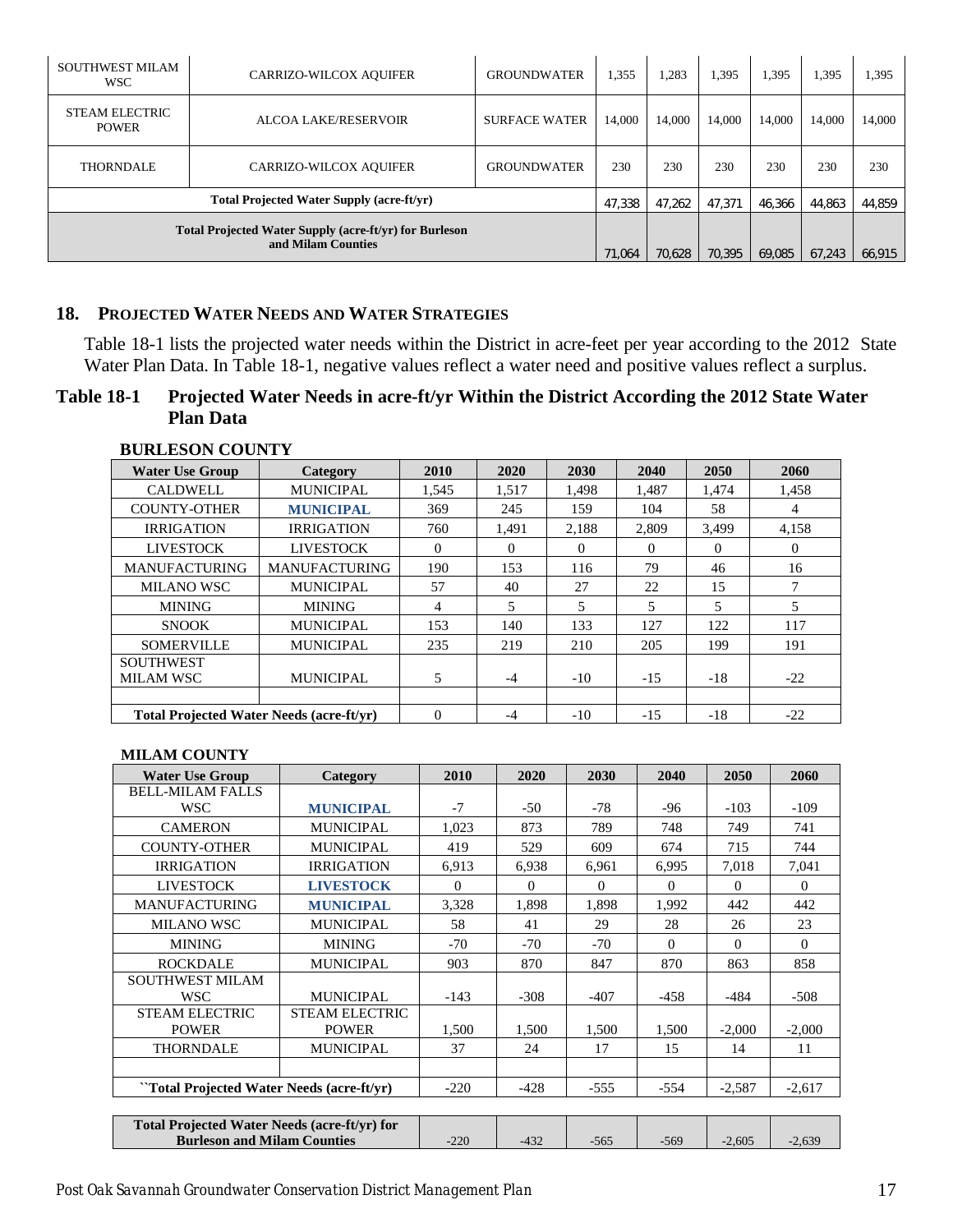| SOUTHWEST MILAM<br><b>WSC</b>                                                | <b>CARRIZO-WILCOX AQUIFER</b>             | <b>GROUNDWATER</b>   | 1,355  | 1,283  | 1,395  | 1,395  | 1,395  | 1,395  |
|------------------------------------------------------------------------------|-------------------------------------------|----------------------|--------|--------|--------|--------|--------|--------|
| <b>STEAM ELECTRIC</b><br><b>POWER</b>                                        | ALCOA LAKE/RESERVOIR                      | <b>SURFACE WATER</b> | 14,000 | 14,000 | 14,000 | 14,000 | 14,000 | 14,000 |
| <b>THORNDALE</b>                                                             | <b>CARRIZO-WILCOX AQUIFER</b>             | <b>GROUNDWATER</b>   | 230    | 230    | 230    | 230    | 230    | 230    |
|                                                                              | Total Projected Water Supply (acre-ft/yr) |                      | 47,338 | 47,262 | 47,371 | 46,366 | 44,863 | 44,859 |
| Total Projected Water Supply (acre-ft/yr) for Burleson<br>and Milam Counties |                                           |                      | 71.064 | 70,628 | 70.395 | 69,085 | 67.243 | 66,915 |

## <span id="page-20-0"></span>**18. PROJECTED WATER NEEDS AND WATER STRATEGIES**

Table 18-1 lists the projected water needs within the District in acre-feet per year according to the 2012 State Water Plan Data. In Table 18-1, negative values reflect a water need and positive values reflect a surplus.

# <span id="page-20-1"></span>**Table 18-1 Projected Water Needs in acre-ft/yr Within the District According the 2012 State Water Plan Data**

| <b>Water Use Group</b>                          | <b>Category</b>      | 2010     | 2020  | 2030  | 2040     | 2050     | 2060     |
|-------------------------------------------------|----------------------|----------|-------|-------|----------|----------|----------|
| <b>CALDWELL</b>                                 | <b>MUNICIPAL</b>     | 1,545    | 1,517 | 1,498 | 1.487    | 1,474    | 1,458    |
| <b>COUNTY-OTHER</b>                             | <b>MUNICIPAL</b>     | 369      | 245   | 159   | 104      | 58       | 4        |
| <b>IRRIGATION</b>                               | <b>IRRIGATION</b>    | 760      | 1.491 | 2,188 | 2.809    | 3.499    | 4,158    |
| <b>LIVESTOCK</b>                                | <b>LIVESTOCK</b>     | $\Omega$ | 0     | 0     | $\Omega$ | $\Omega$ | $\Omega$ |
| <b>MANUFACTURING</b>                            | <b>MANUFACTURING</b> | 190      | 153   | 116   | 79       | 46       | 16       |
| <b>MILANO WSC</b>                               | <b>MUNICIPAL</b>     | 57       | 40    | 27    | 22       | 15       | 7        |
| <b>MINING</b>                                   | <b>MINING</b>        | 4        | 5     | 5     | 5        | 5        | 5        |
| <b>SNOOK</b>                                    | <b>MUNICIPAL</b>     | 153      | 140   | 133   | 127      | 122      | 117      |
| <b>SOMERVILLE</b>                               | <b>MUNICIPAL</b>     | 235      | 219   | 210   | 205      | 199      | 191      |
| <b>SOUTHWEST</b><br><b>MILAM WSC</b>            | <b>MUNICIPAL</b>     | 5        | $-4$  | $-10$ | $-15$    | -18      | $-22$    |
|                                                 |                      |          |       |       |          |          |          |
| <b>Total Projected Water Needs (acre-ft/vr)</b> |                      | $\Omega$ | $-4$  | $-10$ | $-15$    | $-18$    | $-22$    |

#### **BURLESON COUNTY**

#### **MILAM COUNTY**

| <b>Water Use Group</b>                    | Category              | 2010     | 2020   | 2030         | 2040     | 2050     | 2060     |
|-------------------------------------------|-----------------------|----------|--------|--------------|----------|----------|----------|
| <b>BELL-MILAM FALLS</b>                   |                       |          |        |              |          |          |          |
| <b>WSC</b>                                | <b>MUNICIPAL</b>      | $-7$     | $-50$  | -78          | -96      | $-103$   | $-109$   |
| <b>CAMERON</b>                            | <b>MUNICIPAL</b>      | 1,023    | 873    | 789          | 748      | 749      | 741      |
| <b>COUNTY-OTHER</b>                       | <b>MUNICIPAL</b>      | 419      | 529    | 609          | 674      | 715      | 744      |
| <b>IRRIGATION</b>                         | <b>IRRIGATION</b>     | 6.913    | 6,938  | 6,961        | 6.995    | 7,018    | 7,041    |
| <b>LIVESTOCK</b>                          | <b>LIVESTOCK</b>      | $\Omega$ | 0      | $\mathbf{0}$ | $\Omega$ | $\Omega$ | $\Omega$ |
| <b>MANUFACTURING</b>                      | <b>MUNICIPAL</b>      | 3,328    | 1,898  | 1,898        | 1,992    | 442      | 442      |
| <b>MILANO WSC</b>                         | <b>MUNICIPAL</b>      | 58       | 41     | 29           | 28       | 26       | 23       |
| <b>MINING</b>                             | <b>MINING</b>         | $-70$    | $-70$  | $-70$        | $\theta$ | $\Omega$ | $\Omega$ |
| <b>ROCKDALE</b>                           | <b>MUNICIPAL</b>      | 903      | 870    | 847          | 870      | 863      | 858      |
| <b>SOUTHWEST MILAM</b>                    |                       |          |        |              |          |          |          |
| <b>WSC</b>                                | <b>MUNICIPAL</b>      | $-143$   | $-308$ | $-407$       | $-4.58$  | -484     | $-508$   |
| <b>STEAM ELECTRIC</b>                     | <b>STEAM ELECTRIC</b> |          |        |              |          |          |          |
| <b>POWER</b>                              | <b>POWER</b>          | 1,500    | 1,500  | 1,500        | 1,500    | $-2,000$ | $-2,000$ |
| <b>THORNDALE</b>                          | <b>MUNICIPAL</b>      | 37       | 24     | 17           | 15       | 14       | 11       |
|                                           |                       |          |        |              |          |          |          |
| "Total Projected Water Needs (acre-ft/yr) |                       | $-220$   | $-428$ | $-555$       | $-554$   | $-2,587$ | $-2,617$ |
|                                           |                       |          |        |              |          |          |          |

| <b>Total Projected Water Needs (acre-ft/yr) for</b> |            |  |     |       |  |
|-----------------------------------------------------|------------|--|-----|-------|--|
| <b>Burleson and Milam Counties</b>                  | ∩רי<br>22U |  | 569 | 2.605 |  |
|                                                     |            |  |     |       |  |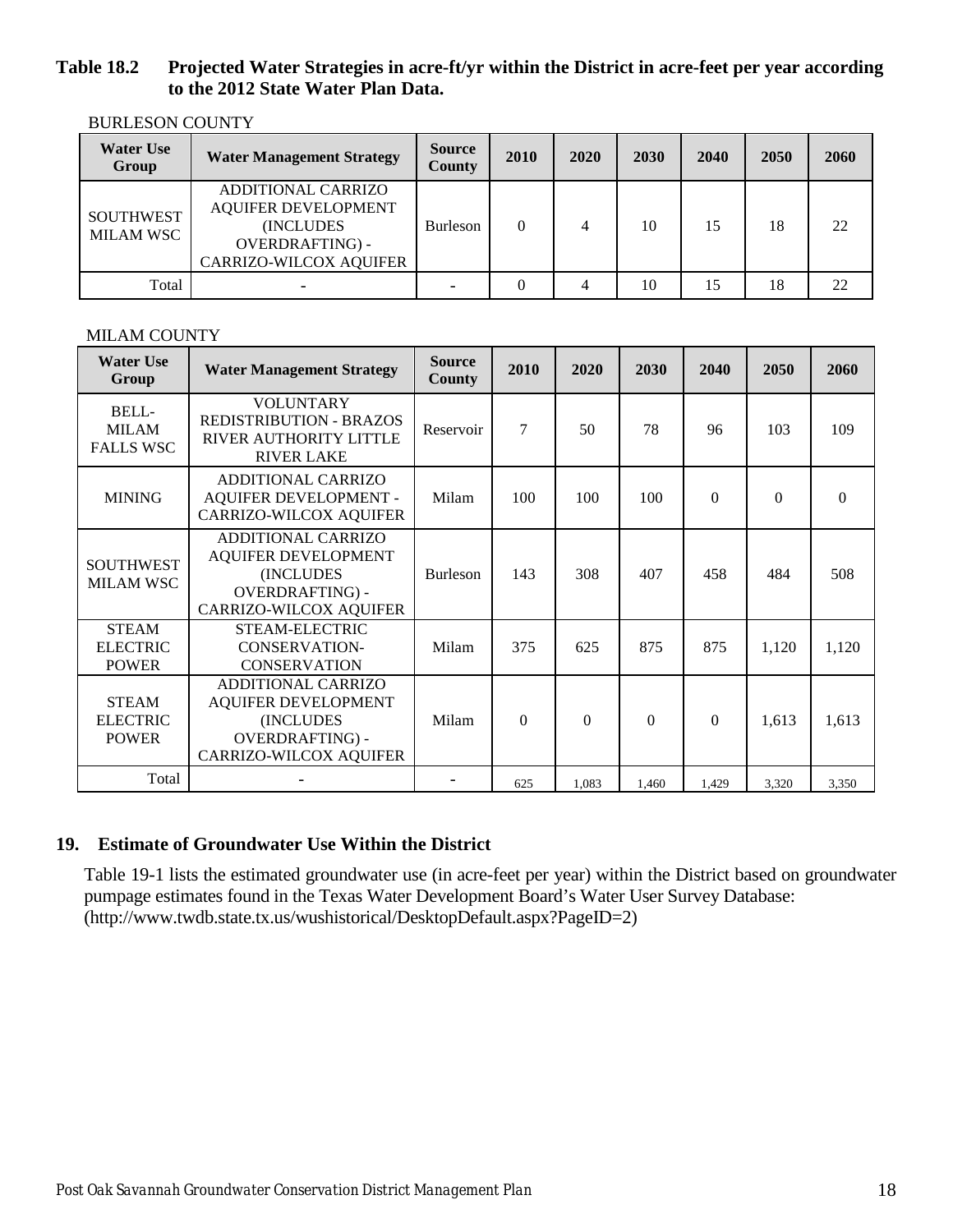# <span id="page-21-1"></span>**Table 18.2 Projected Water Strategies in acre-ft/yr within the District in acre-feet per year according to the 2012 State Water Plan Data.**

| <b>Water Use</b><br>Group            | <b>Water Management Strategy</b>                                                                                                 | <b>Source</b><br><b>County</b> | 2010     | 2020 | 2030 | 2040 | 2050 | 2060 |
|--------------------------------------|----------------------------------------------------------------------------------------------------------------------------------|--------------------------------|----------|------|------|------|------|------|
| <b>SOUTHWEST</b><br><b>MILAM WSC</b> | <b>ADDITIONAL CARRIZO</b><br><b>AQUIFER DEVELOPMENT</b><br>(INCLUDES)<br><b>OVERDRAFTING) -</b><br><b>CARRIZO-WILCOX AQUIFER</b> | <b>Burleson</b>                | $\Omega$ | 4    | 10   | 15   | 18   | 22   |
| Total                                |                                                                                                                                  |                                | $\Omega$ | 4    | 10   | 15   | 18   | 22   |

BURLESON COUNTY

## MILAM COUNTY

| <b>Water Use</b><br>Group                       | <b>Water Management Strategy</b>                                                                                                | <b>Source</b><br>County | 2010     | 2020     | 2030     | 2040     | 2050     | 2060     |
|-------------------------------------------------|---------------------------------------------------------------------------------------------------------------------------------|-------------------------|----------|----------|----------|----------|----------|----------|
| BELL-<br><b>MILAM</b><br><b>FALLS WSC</b>       | <b>VOLUNTARY</b><br><b>REDISTRIBUTION - BRAZOS</b><br>RIVER AUTHORITY LITTLE<br><b>RIVER LAKE</b>                               | Reservoir               | 7        | 50       | 78       | 96       | 103      | 109      |
| <b>MINING</b>                                   | <b>ADDITIONAL CARRIZO</b><br>AQUIFER DEVELOPMENT -<br><b>CARRIZO-WILCOX AQUIFER</b>                                             | Milam                   | 100      | 100      | 100      | $\Omega$ | $\Omega$ | $\Omega$ |
| <b>SOUTHWEST</b><br><b>MILAM WSC</b>            | <b>ADDITIONAL CARRIZO</b><br><b>AQUIFER DEVELOPMENT</b><br>(INCLUDES<br><b>OVERDRAFTING) -</b><br><b>CARRIZO-WILCOX AQUIFER</b> | <b>Burleson</b>         | 143      | 308      | 407      | 458      | 484      | 508      |
| <b>STEAM</b><br><b>ELECTRIC</b><br><b>POWER</b> | STEAM-ELECTRIC<br><b>CONSERVATION-</b><br><b>CONSERVATION</b>                                                                   | Milam                   | 375      | 625      | 875      | 875      | 1,120    | 1,120    |
| <b>STEAM</b><br><b>ELECTRIC</b><br><b>POWER</b> | <b>ADDITIONAL CARRIZO</b><br><b>AQUIFER DEVELOPMENT</b><br>(INCLUDES)<br><b>OVERDRAFTING) -</b><br>CARRIZO-WILCOX AQUIFER       | Milam                   | $\Omega$ | $\Omega$ | $\Omega$ | $\Omega$ | 1,613    | 1,613    |
| Total                                           |                                                                                                                                 |                         | 625      | 1.083    | 1,460    | 1,429    | 3,320    | 3,350    |

# <span id="page-21-0"></span>**19. Estimate of Groundwater Use Within the District**

<span id="page-21-2"></span>Table 19-1 lists the estimated groundwater use (in acre-feet per year) within the District based on groundwater pumpage estimates found in the Texas Water Development Board's Water User Survey Database: (http://www.twdb.state.tx.us/wushistorical/DesktopDefault.aspx?PageID=2)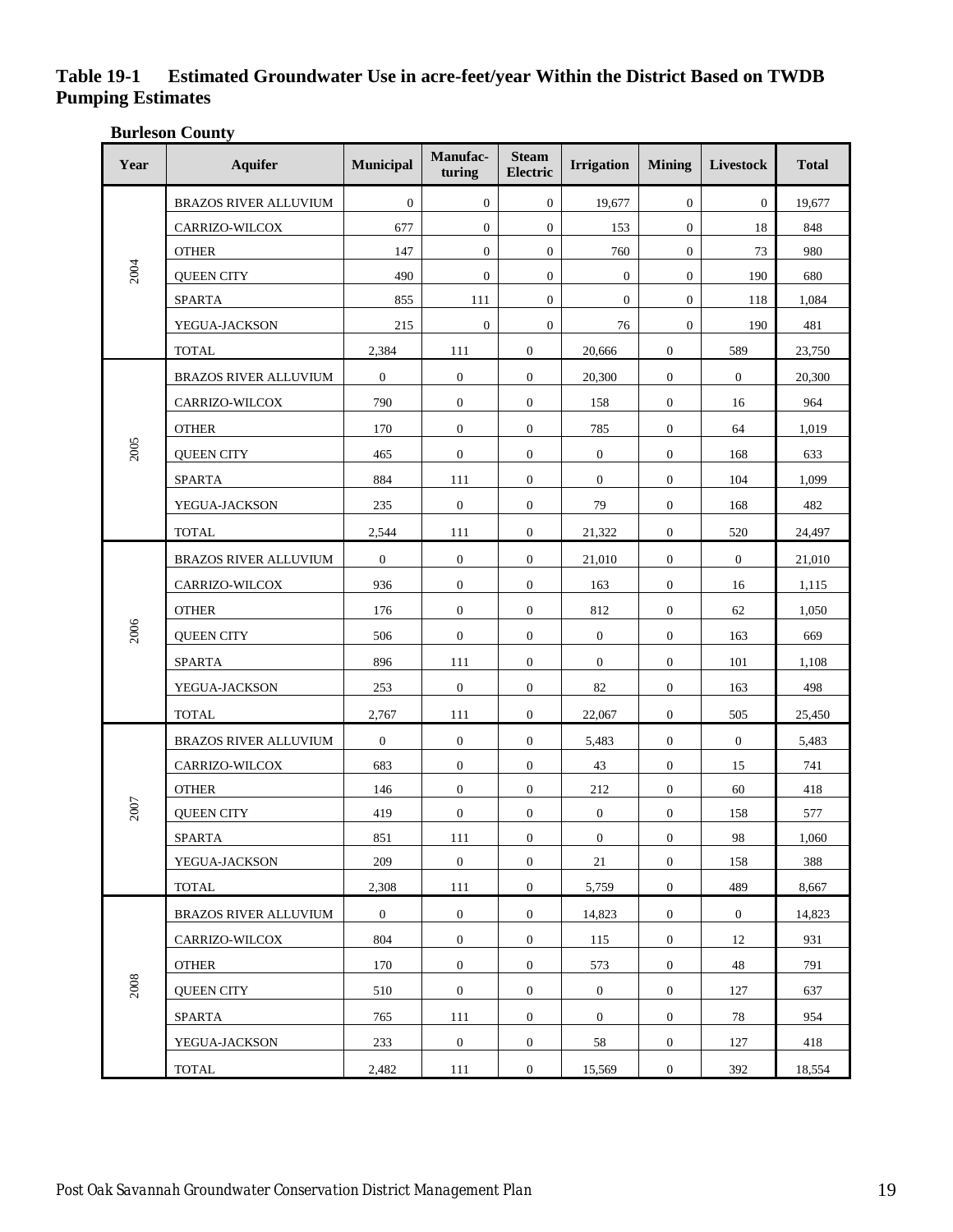# **Table 19-1 Estimated Groundwater Use in acre-feet/year Within the District Based on TWDB Pumping Estimates**

**Burleson County**

| Year | <b>Aquifer</b>               | Municipal      | Manufac-<br>turing | <b>Steam</b><br>Electric | <b>Irrigation</b> | <b>Mining</b>    | Livestock        | <b>Total</b> |
|------|------------------------------|----------------|--------------------|--------------------------|-------------------|------------------|------------------|--------------|
| 2004 | BRAZOS RIVER ALLUVIUM        | $\mathbf{0}$   | $\mathbf{0}$       | $\boldsymbol{0}$         | 19,677            | $\mathbf{0}$     | $\boldsymbol{0}$ | 19,677       |
|      | CARRIZO-WILCOX               | 677            | $\mathbf{0}$       | $\mathbf{0}$             | 153               | $\mathbf{0}$     | 18               | 848          |
|      | <b>OTHER</b>                 | 147            | $\mathbf{0}$       | $\boldsymbol{0}$         | 760               | $\mathbf{0}$     | 73               | 980          |
|      | <b>QUEEN CITY</b>            | 490            | $\mathbf{0}$       | $\boldsymbol{0}$         | $\mathbf{0}$      | $\mathbf{0}$     | 190              | 680          |
|      | <b>SPARTA</b>                | 855            | 111                | $\overline{0}$           | $\overline{0}$    | $\mathbf{0}$     | 118              | 1,084        |
|      | YEGUA-JACKSON                | 215            | $\mathbf{0}$       | $\mathbf{0}$             | 76                | $\mathbf{0}$     | 190              | 481          |
|      | <b>TOTAL</b>                 | 2,384          | 111                | $\mathbf{0}$             | 20,666            | $\mathbf{0}$     | 589              | 23,750       |
|      | <b>BRAZOS RIVER ALLUVIUM</b> | $\mathbf{0}$   | $\mathbf{0}$       | $\mathbf{0}$             | 20,300            | $\mathbf{0}$     | $\boldsymbol{0}$ | 20,300       |
|      | CARRIZO-WILCOX               | 790            | $\mathbf{0}$       | $\mathbf{0}$             | 158               | $\mathbf{0}$     | 16               | 964          |
|      | <b>OTHER</b>                 | 170            | $\mathbf{0}$       | $\mathbf{0}$             | 785               | $\mathbf{0}$     | 64               | 1,019        |
| 2005 | <b>QUEEN CITY</b>            | 465            | $\mathbf{0}$       | $\mathbf{0}$             | $\boldsymbol{0}$  | $\mathbf{0}$     | 168              | 633          |
|      | <b>SPARTA</b>                | 884            | 111                | $\mathbf{0}$             | $\mathbf{0}$      | $\mathbf{0}$     | 104              | 1,099        |
|      | YEGUA-JACKSON                | 235            | $\mathbf{0}$       | $\mathbf{0}$             | 79                | $\mathbf{0}$     | 168              | 482          |
|      | <b>TOTAL</b>                 | 2,544          | 111                | $\mathbf{0}$             | 21,322            | $\mathbf{0}$     | 520              | 24,497       |
| 2006 | BRAZOS RIVER ALLUVIUM        | $\mathbf{0}$   | $\mathbf{0}$       | $\mathbf{0}$             | 21,010            | $\mathbf{0}$     | $\mathbf{0}$     | 21,010       |
|      | CARRIZO-WILCOX               | 936            | $\mathbf{0}$       | $\mathbf{0}$             | 163               | $\mathbf{0}$     | 16               | 1,115        |
|      | <b>OTHER</b>                 | 176            | $\mathbf{0}$       | $\mathbf{0}$             | 812               | $\mathbf{0}$     | 62               | 1,050        |
|      | <b>QUEEN CITY</b>            | 506            | $\mathbf{0}$       | $\mathbf{0}$             | $\mathbf{0}$      | $\mathbf{0}$     | 163              | 669          |
|      | <b>SPARTA</b>                | 896            | 111                | $\mathbf{0}$             | $\mathbf{0}$      | $\mathbf{0}$     | 101              | 1,108        |
|      | YEGUA-JACKSON                | 253            | $\mathbf{0}$       | $\mathbf{0}$             | 82                | $\mathbf{0}$     | 163              | 498          |
|      | <b>TOTAL</b>                 | 2,767          | 111                | $\mathbf{0}$             | 22,067            | $\mathbf{0}$     | 505              | 25,450       |
|      | BRAZOS RIVER ALLUVIUM        | $\mathbf{0}$   | $\mathbf{0}$       | $\mathbf{0}$             | 5,483             | $\mathbf{0}$     | $\boldsymbol{0}$ | 5,483        |
|      | CARRIZO-WILCOX               | 683            | $\mathbf{0}$       | $\mathbf{0}$             | 43                | $\mathbf{0}$     | 15               | 741          |
|      | <b>OTHER</b>                 | 146            | $\mathbf{0}$       | $\mathbf{0}$             | 212               | $\mathbf{0}$     | 60               | 418          |
| 2007 | <b>QUEEN CITY</b>            | 419            | $\mathbf{0}$       | $\mathbf{0}$             | $\mathbf{0}$      | $\mathbf{0}$     | 158              | 577          |
|      | SPARTA                       | 851            | 111                | $\boldsymbol{0}$         | $\overline{0}$    | $\boldsymbol{0}$ | 98               | 1,060        |
|      | YEGUA-JACKSON                | 209            | $\overline{0}$     | $\overline{0}$           | 21                | $\mathbf{0}$     | 158              | 388          |
|      | <b>TOTAL</b>                 | 2,308          | 111                | $\overline{0}$           | 5,759             | $\boldsymbol{0}$ | 489              | 8,667        |
| 2008 | BRAZOS RIVER ALLUVIUM        | $\overline{0}$ | $\boldsymbol{0}$   | $\mathbf{0}$             | 14,823            | $\mathbf{0}$     | $\overline{0}$   | 14,823       |
|      | CARRIZO-WILCOX               | 804            | $\overline{0}$     | $\overline{0}$           | 115               | $\overline{0}$   | 12               | 931          |
|      | <b>OTHER</b>                 | 170            | $\overline{0}$     | $\mathbf{0}$             | 573               | $\mathbf{0}$     | 48               | 791          |
|      | <b>QUEEN CITY</b>            | 510            | $\overline{0}$     | $\overline{0}$           | $\boldsymbol{0}$  | $\overline{0}$   | 127              | 637          |
|      | SPARTA                       | 765            | 111                | $\mathbf{0}$             | $\boldsymbol{0}$  | $\mathbf{0}$     | 78               | 954          |
|      | YEGUA-JACKSON                | 233            | $\overline{0}$     | $\overline{0}$           | 58                | $\overline{0}$   | 127              | 418          |
|      | <b>TOTAL</b>                 | 2,482          | 111                | $\boldsymbol{0}$         | 15,569            | $\overline{0}$   | 392              | 18,554       |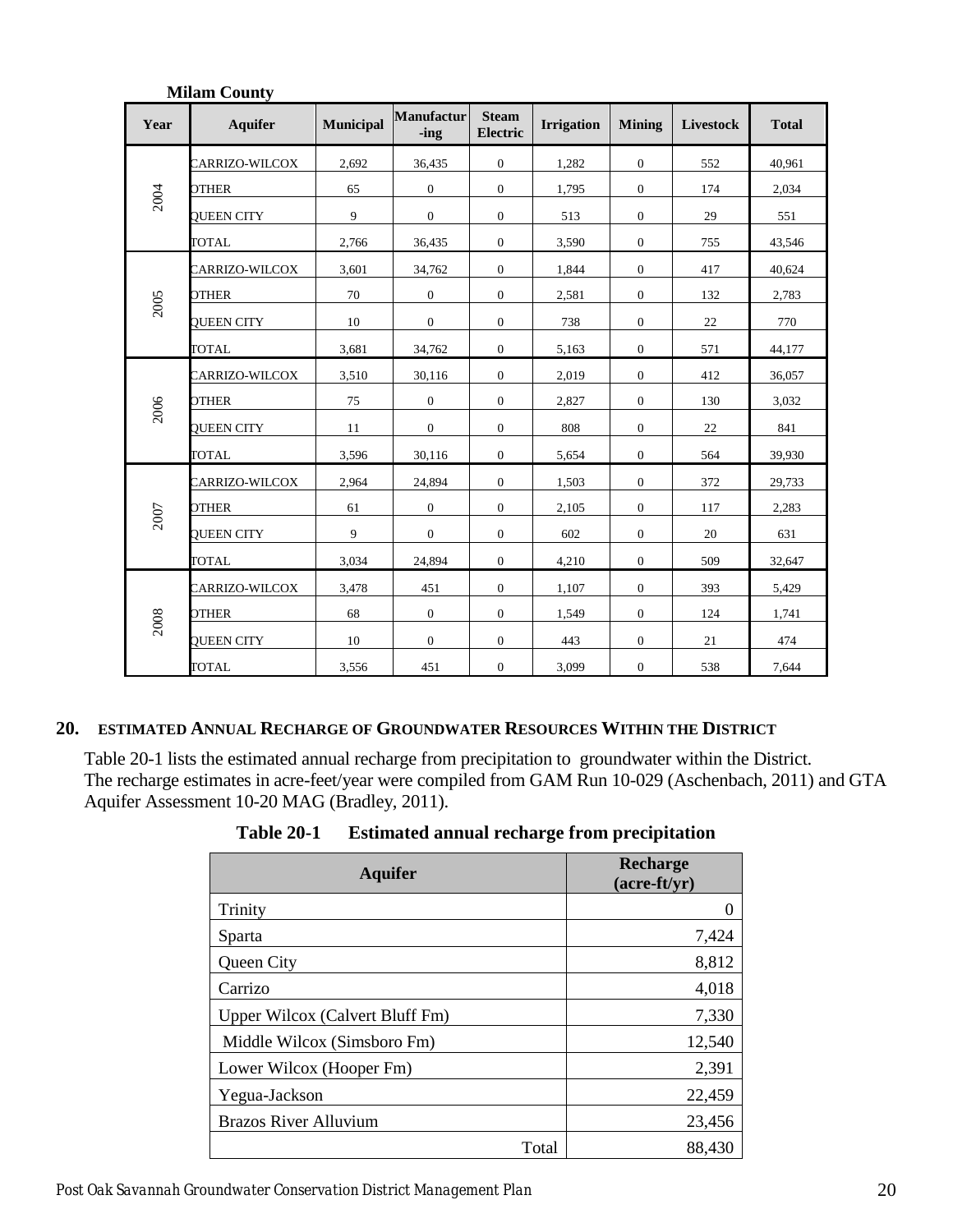| Year | <b>Aquifer</b>    | <b>Municipal</b> | <b>Manufactur</b><br>-ing | <b>Steam</b><br>Electric | <b>Irrigation</b> | <b>Mining</b>    | Livestock | <b>Total</b> |
|------|-------------------|------------------|---------------------------|--------------------------|-------------------|------------------|-----------|--------------|
| 2004 | CARRIZO-WILCOX    | 2,692            | 36,435                    | $\overline{0}$           | 1,282             | $\overline{0}$   | 552       | 40,961       |
|      | <b>OTHER</b>      | 65               | $\mathbf{0}$              | $\mathbf{0}$             | 1,795             | $\mathbf{0}$     | 174       | 2,034        |
|      | QUEEN CITY        | 9                | $\mathbf{0}$              | $\boldsymbol{0}$         | 513               | $\mathbf{0}$     | 29        | 551          |
|      | <b>TOTAL</b>      | 2,766            | 36,435                    | $\mathbf{0}$             | 3,590             | $\overline{0}$   | 755       | 43,546       |
| 2005 | CARRIZO-WILCOX    | 3,601            | 34,762                    | $\mathbf{0}$             | 1,844             | $\mathbf{0}$     | 417       | 40,624       |
|      | OTHER             | 70               | $\mathbf{0}$              | $\overline{0}$           | 2,581             | $\overline{0}$   | 132       | 2,783        |
|      | QUEEN CITY        | 10               | $\mathbf{0}$              | $\mathbf{0}$             | 738               | $\overline{0}$   | 22        | 770          |
|      | TOTAL             | 3,681            | 34,762                    | $\overline{0}$           | 5,163             | $\overline{0}$   | 571       | 44,177       |
| 2006 | CARRIZO-WILCOX    | 3,510            | 30,116                    | $\overline{0}$           | 2,019             | $\overline{0}$   | 412       | 36,057       |
|      | <b>OTHER</b>      | 75               | $\mathbf{0}$              | $\mathbf{0}$             | 2,827             | $\overline{0}$   | 130       | 3,032        |
|      | QUEEN CITY        | 11               | $\mathbf{0}$              | $\mathbf{0}$             | 808               | $\mathbf{0}$     | 22        | 841          |
|      | <b>TOTAL</b>      | 3,596            | 30,116                    | $\mathbf{0}$             | 5,654             | $\boldsymbol{0}$ | 564       | 39,930       |
| 2007 | CARRIZO-WILCOX    | 2,964            | 24,894                    | $\mathbf{0}$             | 1,503             | $\mathbf{0}$     | 372       | 29,733       |
|      | OTHER             | 61               | $\mathbf{0}$              | $\mathbf{0}$             | 2,105             | $\overline{0}$   | 117       | 2,283        |
|      | <b>QUEEN CITY</b> | 9                | $\overline{0}$            | $\mathbf{0}$             | 602               | $\overline{0}$   | 20        | 631          |
|      | <b>TOTAL</b>      | 3,034            | 24,894                    | $\mathbf{0}$             | 4,210             | $\overline{0}$   | 509       | 32,647       |
| 2008 | CARRIZO-WILCOX    | 3,478            | 451                       | $\mathbf{0}$             | 1,107             | $\mathbf{0}$     | 393       | 5,429        |
|      | <b>OTHER</b>      | 68               | $\overline{0}$            | $\overline{0}$           | 1,549             | $\overline{0}$   | 124       | 1,741        |
|      | <b>QUEEN CITY</b> | 10               | $\mathbf{0}$              | $\mathbf{0}$             | 443               | $\mathbf{0}$     | 21        | 474          |
|      | <b>TOTAL</b>      | 3,556            | 451                       | $\boldsymbol{0}$         | 3,099             | $\mathbf{0}$     | 538       | 7,644        |

#### **Milam County**

## <span id="page-23-0"></span>**20. ESTIMATED ANNUAL RECHARGE OF GROUNDWATER RESOURCES WITHIN THE DISTRICT**

<span id="page-23-1"></span>Table 20-1 lists the estimated annual recharge from precipitation to groundwater within the District. The recharge estimates in acre-feet/year were compiled from GAM Run 10-029 (Aschenbach, 2011) and GTA Aquifer Assessment 10-20 MAG (Bradley, 2011).

| <b>Aquifer</b>                  | <b>Recharge</b><br>$(\text{acre-ft/yr})$ |
|---------------------------------|------------------------------------------|
| Trinity                         | 0                                        |
| Sparta                          | 7,424                                    |
| Queen City                      | 8,812                                    |
| Carrizo                         | 4,018                                    |
| Upper Wilcox (Calvert Bluff Fm) | 7,330                                    |
| Middle Wilcox (Simsboro Fm)     | 12,540                                   |
| Lower Wilcox (Hooper Fm)        | 2,391                                    |
| Yegua-Jackson                   | 22,459                                   |
| <b>Brazos River Alluvium</b>    | 23,456                                   |
| Total                           | 88,430                                   |

**Table 20-1 Estimated annual recharge from precipitation**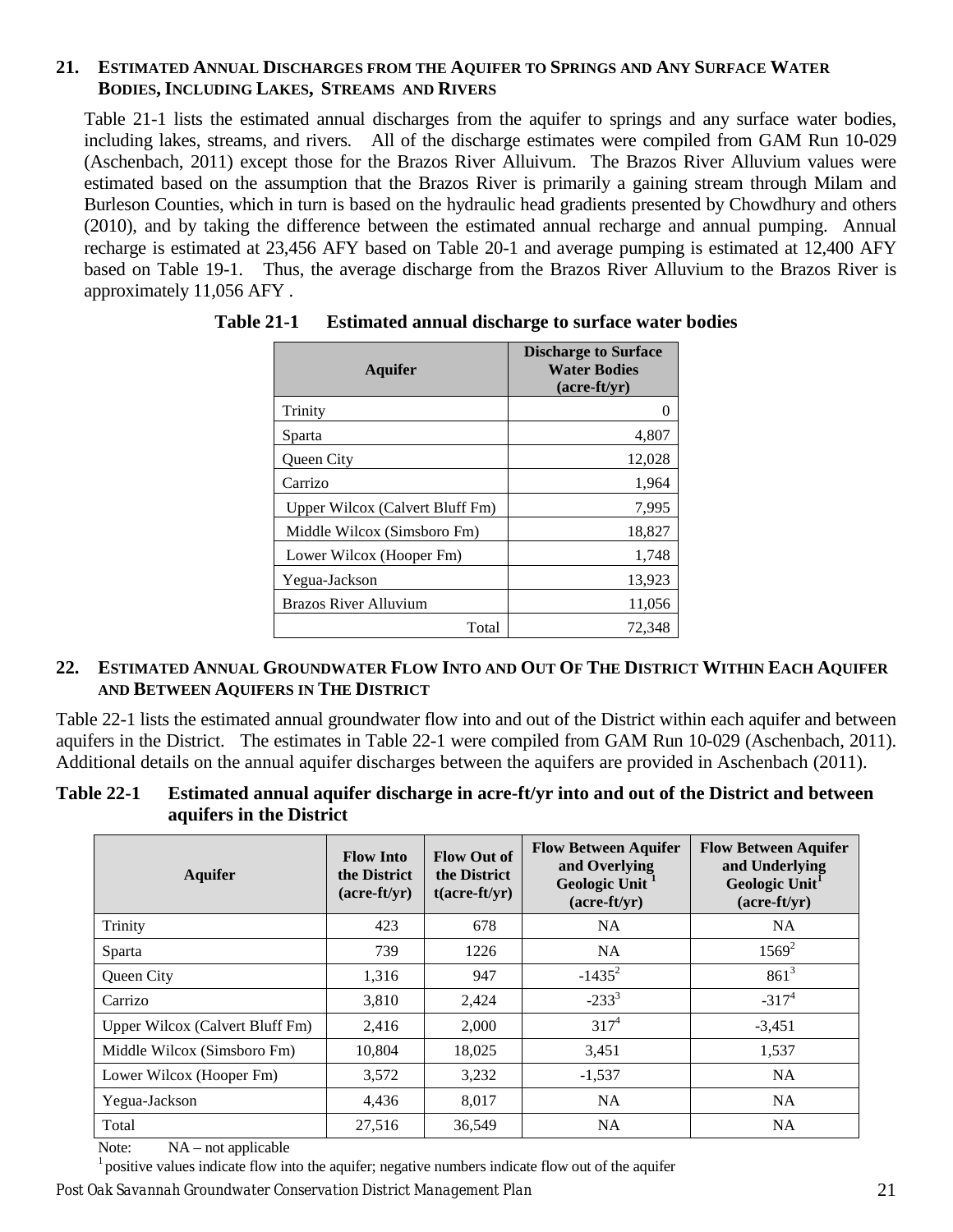## <span id="page-24-0"></span>**21. ESTIMATED ANNUAL DISCHARGES FROM THE AQUIFER TO SPRINGS AND ANY SURFACE WATER BODIES, INCLUDING LAKES, STREAMS AND RIVERS**

Table 21-1 lists the estimated annual discharges from the aquifer to springs and any surface water bodies, including lakes, streams, and rivers. All of the discharge estimates were compiled from GAM Run 10-029 (Aschenbach, 2011) except those for the Brazos River Alluivum. The Brazos River Alluvium values were estimated based on the assumption that the Brazos River is primarily a gaining stream through Milam and Burleson Counties, which in turn is based on the hydraulic head gradients presented by Chowdhury and others (2010), and by taking the difference between the estimated annual recharge and annual pumping. Annual recharge is estimated at 23,456 AFY based on Table 20-1 and average pumping is estimated at 12,400 AFY based on Table 19-1. Thus, the average discharge from the Brazos River Alluvium to the Brazos River is approximately 11,056 AFY .

| <b>Aquifer</b>                  | <b>Discharge to Surface</b><br><b>Water Bodies</b><br>$(\text{acre-fit}/\text{vr})$ |
|---------------------------------|-------------------------------------------------------------------------------------|
| Trinity                         |                                                                                     |
| Sparta                          | 4,807                                                                               |
| Queen City                      | 12,028                                                                              |
| Carrizo                         | 1,964                                                                               |
| Upper Wilcox (Calvert Bluff Fm) | 7,995                                                                               |
| Middle Wilcox (Simsboro Fm)     | 18,827                                                                              |
| Lower Wilcox (Hooper Fm)        | 1,748                                                                               |
| Yegua-Jackson                   | 13,923                                                                              |
| <b>Brazos River Alluvium</b>    | 11,056                                                                              |
| Total                           | 72,348                                                                              |

<span id="page-24-2"></span>**Table 21-1 Estimated annual discharge to surface water bodies**

# <span id="page-24-1"></span>**22. ESTIMATED ANNUAL GROUNDWATER FLOW INTO AND OUT OF THE DISTRICT WITHIN EACH AQUIFER AND BETWEEN AQUIFERS IN THE DISTRICT**

Table 22-1 lists the estimated annual groundwater flow into and out of the District within each aquifer and between aquifers in the District. The estimates in Table 22-1 were compiled from GAM Run 10-029 (Aschenbach, 2011). Additional details on the annual aquifer discharges between the aquifers are provided in Aschenbach (2011).

#### <span id="page-24-3"></span>**Table 22-1 Estimated annual aquifer discharge in acre-ft/yr into and out of the District and between aquifers in the District**

| <b>Aquifer</b>                  | <b>Flow Into</b><br>the District<br>$(\text{acre-ft/yr})$ | <b>Flow Out of</b><br>the District<br>$t(acre-ft/yr)$ | <b>Flow Between Aquifer</b><br>and Overlying<br>Geologic Unit <sup>1</sup><br>$(\text{acre-ft/yr})$ | <b>Flow Between Aquifer</b><br>and Underlying<br>Geologic Unit <sup>1</sup><br>$(\text{acre-ft/yr})$ |
|---------------------------------|-----------------------------------------------------------|-------------------------------------------------------|-----------------------------------------------------------------------------------------------------|------------------------------------------------------------------------------------------------------|
| Trinity                         | 423                                                       | 678                                                   | <b>NA</b>                                                                                           | <b>NA</b>                                                                                            |
| Sparta                          | 739                                                       | 1226                                                  | <b>NA</b>                                                                                           | $1569^2$                                                                                             |
| Queen City                      | 1,316                                                     | 947                                                   | $-1435^2$                                                                                           | $861^3$                                                                                              |
| Carrizo                         | 3,810                                                     | 2,424                                                 | $-233^{3}$                                                                                          | $-317^{4}$                                                                                           |
| Upper Wilcox (Calvert Bluff Fm) | 2,416                                                     | 2,000                                                 | $317^{4}$                                                                                           | $-3,451$                                                                                             |
| Middle Wilcox (Simsboro Fm)     | 10,804                                                    | 18,025                                                | 3,451                                                                                               | 1,537                                                                                                |
| Lower Wilcox (Hooper Fm)        | 3,572                                                     | 3,232                                                 | $-1,537$                                                                                            | <b>NA</b>                                                                                            |
| Yegua-Jackson                   | 4,436                                                     | 8,017                                                 | <b>NA</b>                                                                                           | <b>NA</b>                                                                                            |
| Total                           | 27,516                                                    | 36,549                                                | <b>NA</b>                                                                                           | <b>NA</b>                                                                                            |

Note: NA – not applicable

 $<sup>1</sup>$  positive values indicate flow into the aquifer; negative numbers indicate flow out of the aquifer</sup>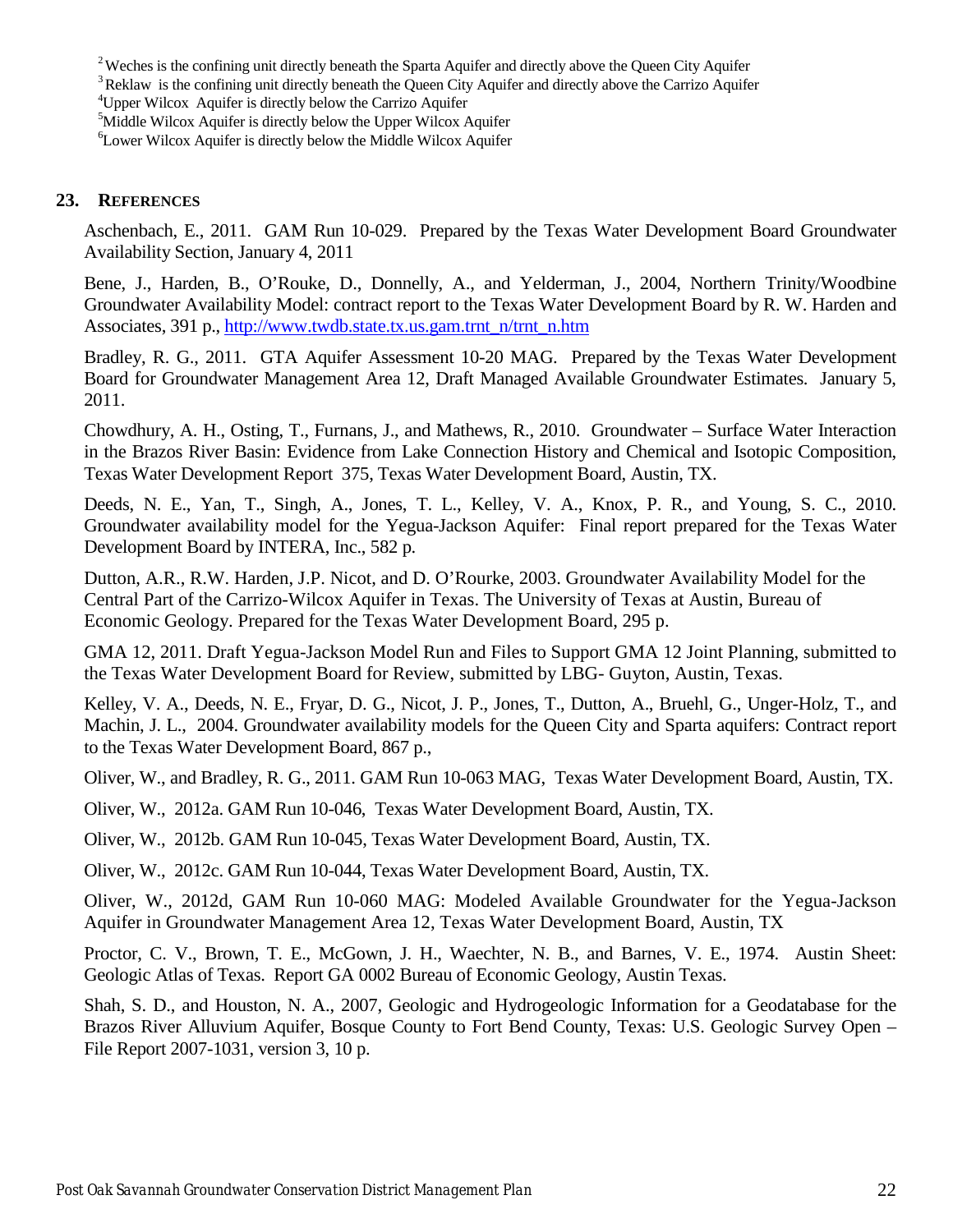<sup>2</sup> Weches is the confining unit directly beneath the Sparta Aquifer and directly above the Queen City Aquifer  $\frac{3}{10}$  Reklaw is the confining unit directly beneath the Queen City Aquifer and directly above the Carrizo

4 Upper Wilcox Aquifer is directly below the Carrizo Aquifer

<sup>5</sup>Middle Wilcox Aquifer is directly below the Upper Wilcox Aquifer

6 Lower Wilcox Aquifer is directly below the Middle Wilcox Aquifer

#### <span id="page-25-0"></span>**23. REFERENCES**

Aschenbach, E., 2011. GAM Run 10-029. Prepared by the Texas Water Development Board Groundwater Availability Section, January 4, 2011

Bene, J., Harden, B., O'Rouke, D., Donnelly, A., and Yelderman, J., 2004, Northern Trinity/Woodbine Groundwater Availability Model: contract report to the Texas Water Development Board by R. W. Harden and Associates, 391 p., [http://www.twdb.state.tx.us.gam.trnt\\_n/trnt\\_n.htm](http://www.twdb.state.tx.us.gam.trnt_n/trnt_n.htm)

Bradley, R. G., 2011. GTA Aquifer Assessment 10-20 MAG. Prepared by the Texas Water Development Board for Groundwater Management Area 12, Draft Managed Available Groundwater Estimates. January 5, 2011.

Chowdhury, A. H., Osting, T., Furnans, J., and Mathews, R., 2010. Groundwater – Surface Water Interaction in the Brazos River Basin: Evidence from Lake Connection History and Chemical and Isotopic Composition, Texas Water Development Report 375, Texas Water Development Board, Austin, TX.

Deeds, N. E., Yan, T., Singh, A., Jones, T. L., Kelley, V. A., Knox, P. R., and Young, S. C., 2010. Groundwater availability model for the Yegua-Jackson Aquifer: Final report prepared for the Texas Water Development Board by INTERA, Inc., 582 p.

Dutton, A.R., R.W. Harden, J.P. Nicot, and D. O'Rourke, 2003. Groundwater Availability Model for the Central Part of the Carrizo-Wilcox Aquifer in Texas. The University of Texas at Austin, Bureau of Economic Geology. Prepared for the Texas Water Development Board, 295 p.

GMA 12, 2011. Draft Yegua-Jackson Model Run and Files to Support GMA 12 Joint Planning, submitted to the Texas Water Development Board for Review, submitted by LBG- Guyton, Austin, Texas.

Kelley, V. A., Deeds, N. E., Fryar, D. G., Nicot, J. P., Jones, T., Dutton, A., Bruehl, G., Unger-Holz, T., and Machin, J. L., 2004. Groundwater availability models for the Queen City and Sparta aquifers: Contract report to the Texas Water Development Board, 867 p.,

Oliver, W., and Bradley, R. G., 2011. GAM Run 10-063 MAG, Texas Water Development Board, Austin, TX.

Oliver, W., 2012a. GAM Run 10-046, Texas Water Development Board, Austin, TX.

Oliver, W., 2012b. GAM Run 10-045, Texas Water Development Board, Austin, TX.

Oliver, W., 2012c. GAM Run 10-044, Texas Water Development Board, Austin, TX.

Oliver, W., 2012d, GAM Run 10-060 MAG: Modeled Available Groundwater for the Yegua-Jackson Aquifer in Groundwater Management Area 12, Texas Water Development Board, Austin, TX

Proctor, C. V., Brown, T. E., McGown, J. H., Waechter, N. B., and Barnes, V. E., 1974. Austin Sheet: Geologic Atlas of Texas. Report GA 0002 Bureau of Economic Geology, Austin Texas.

Shah, S. D., and Houston, N. A., 2007, Geologic and Hydrogeologic Information for a Geodatabase for the Brazos River Alluvium Aquifer, Bosque County to Fort Bend County, Texas: U.S. Geologic Survey Open – File Report 2007-1031, version 3, 10 p.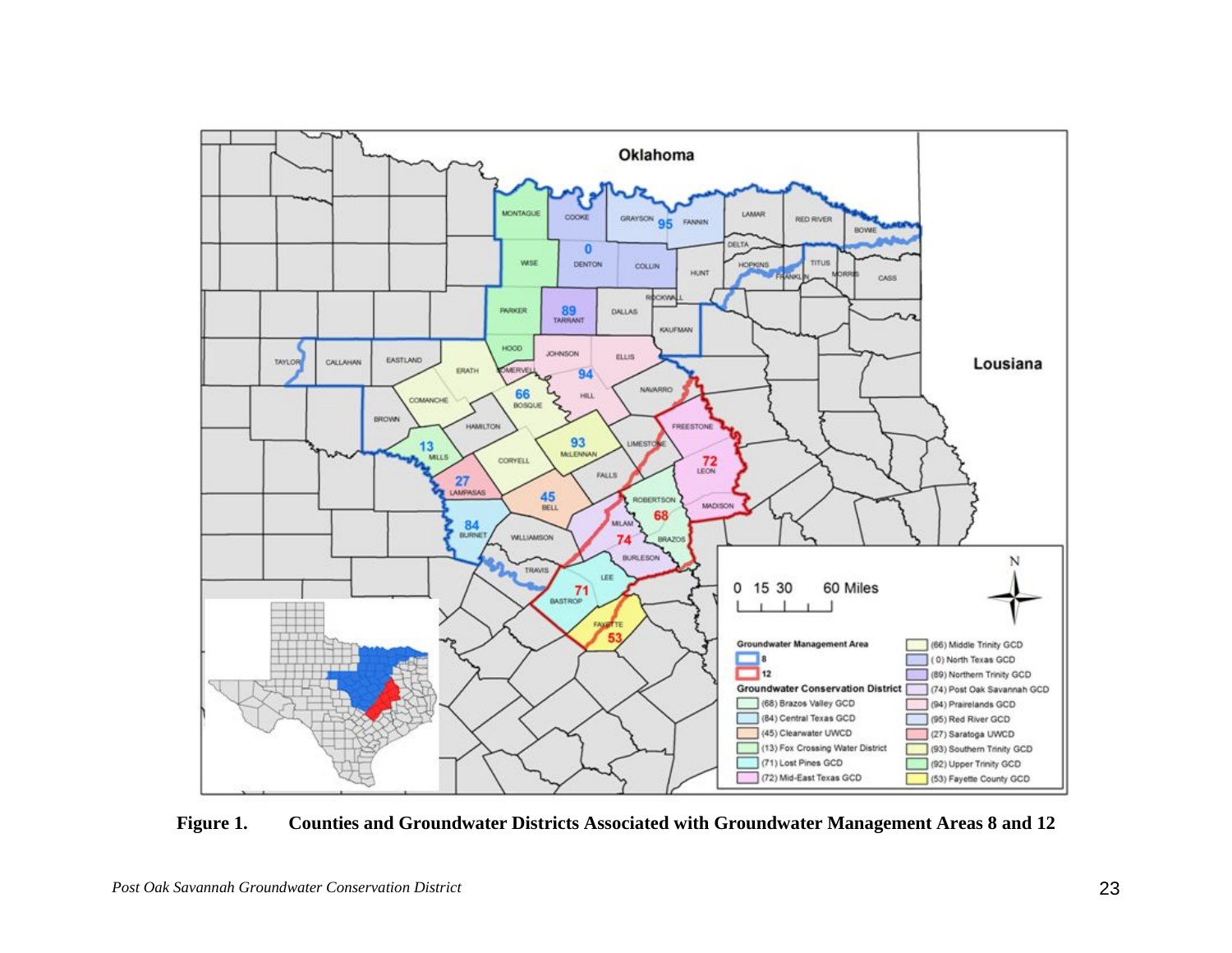

<span id="page-26-0"></span>**Figure 1. Counties and Groundwater Districts Associated with Groundwater Management Areas 8 and 12**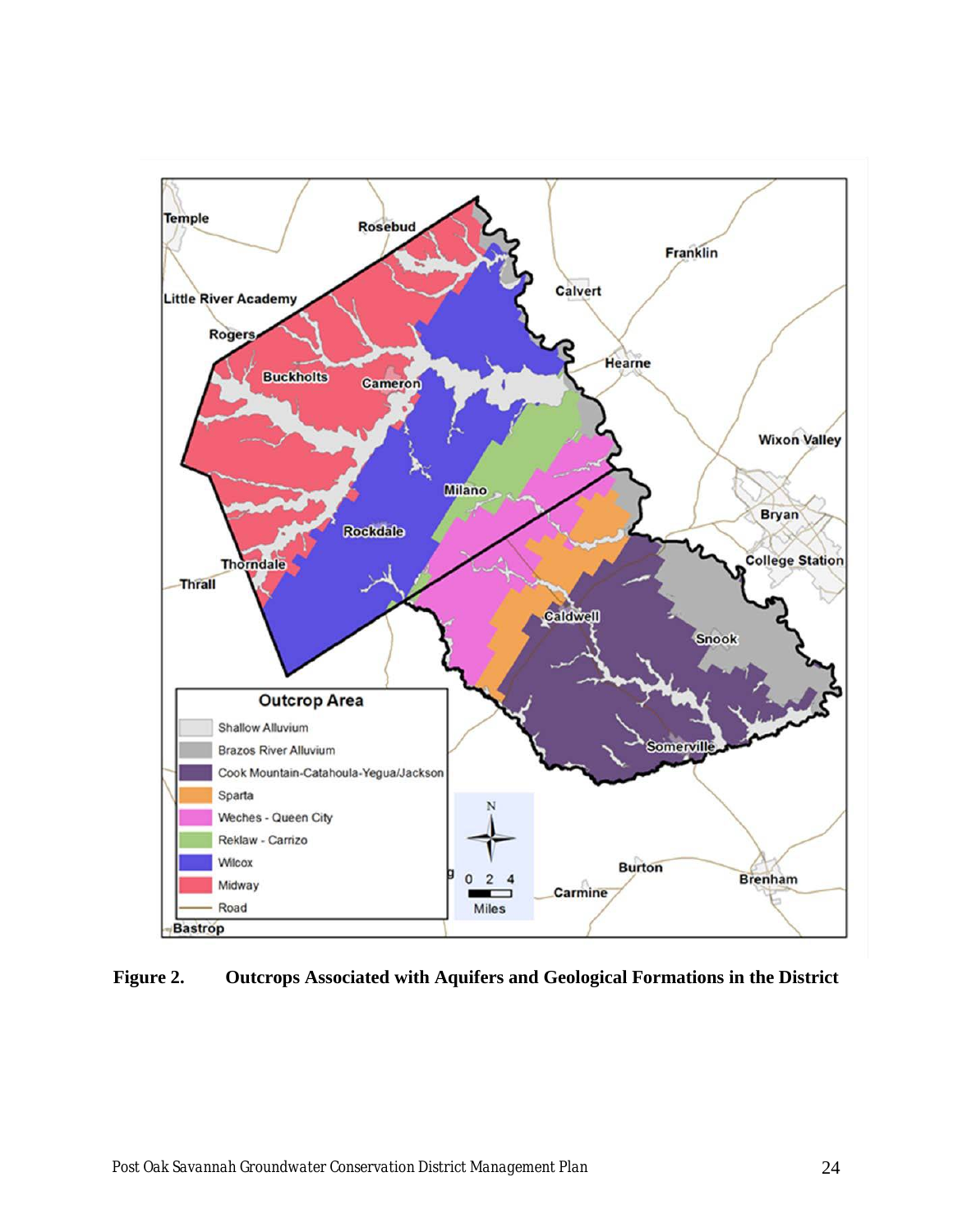

<span id="page-27-0"></span>**Figure 2. Outcrops Associated with Aquifers and Geological Formations in the District**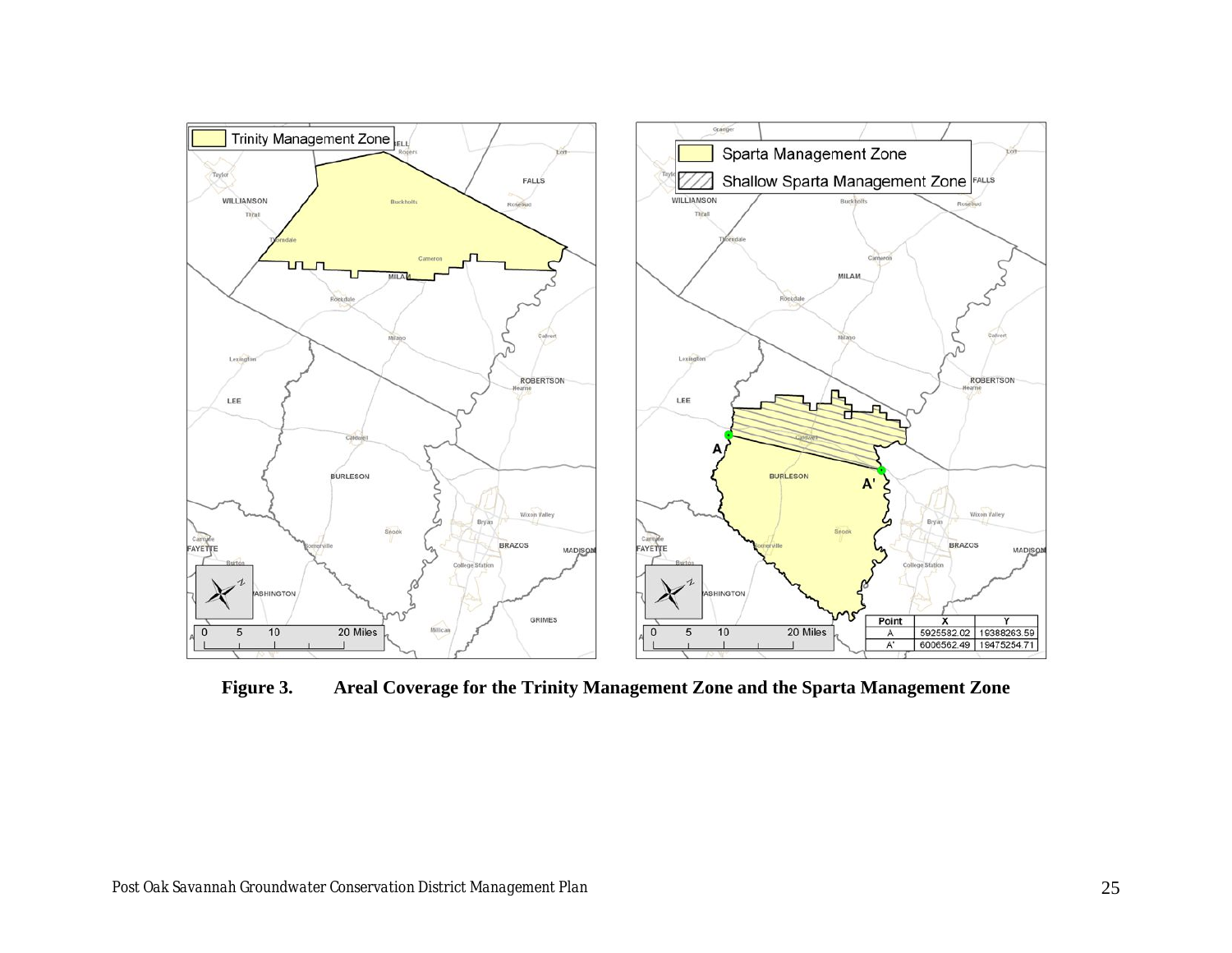

<span id="page-28-0"></span>**Figure 3. Areal Coverage for the Trinity Management Zone and the Sparta Management Zone**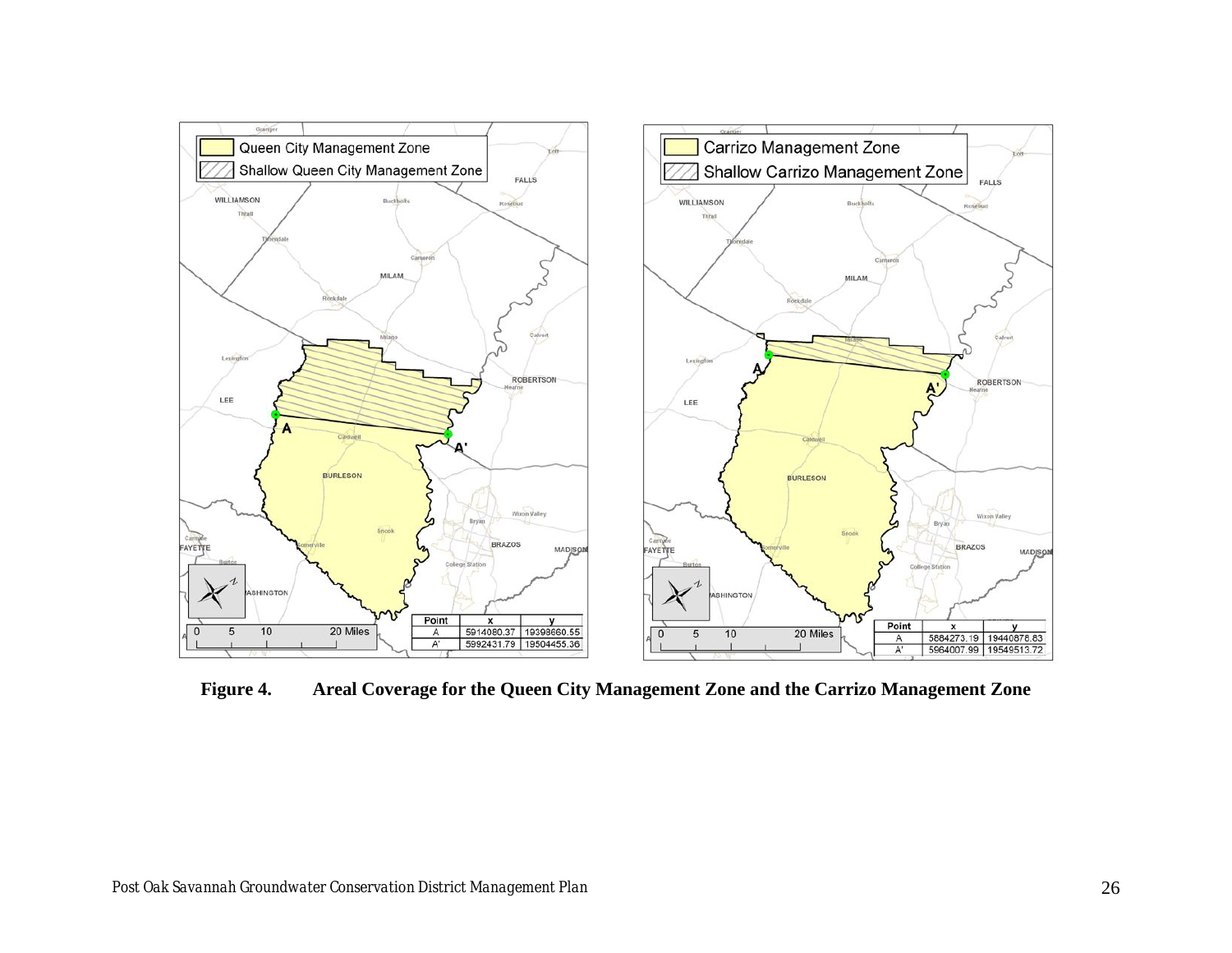

<span id="page-29-0"></span>**Figure 4. Areal Coverage for the Queen City Management Zone and the Carrizo Management Zone**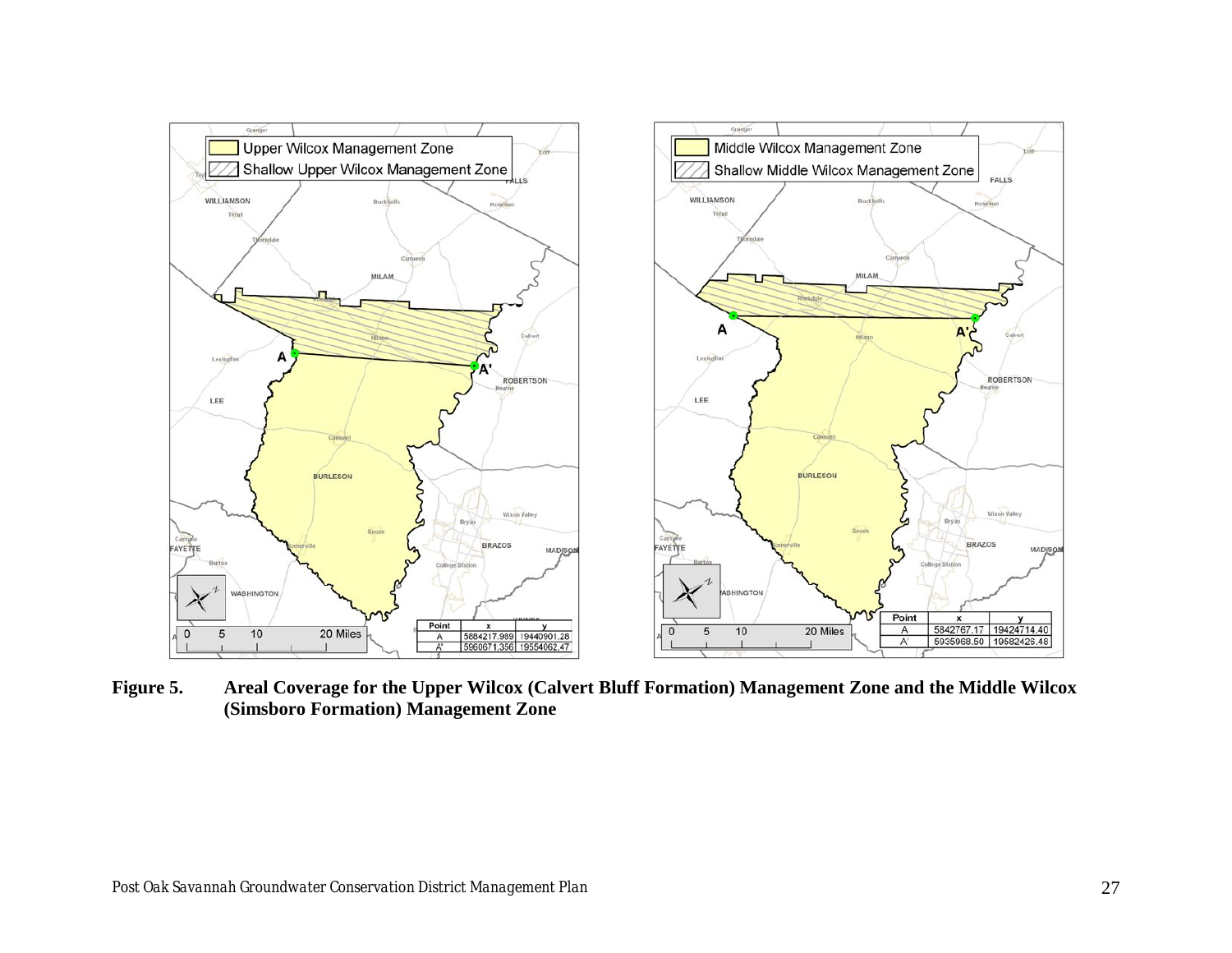

<span id="page-30-0"></span>**Figure 5. Areal Coverage for the Upper Wilcox (Calvert Bluff Formation) Management Zone and the Middle Wilcox (Simsboro Formation) Management Zone**